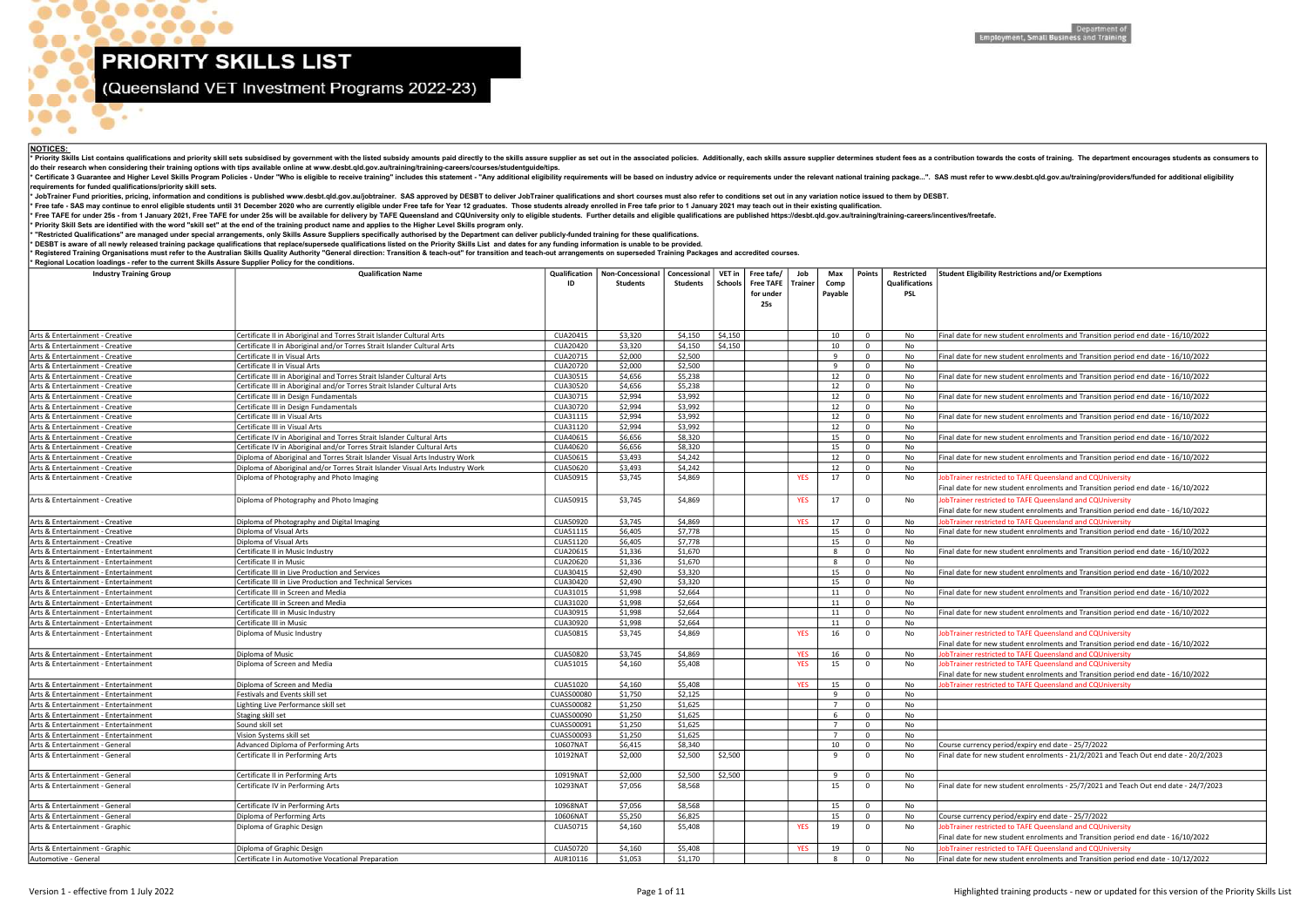- 6

 $\frac{1}{2}$ 

 $\alpha$ 

# (Queensland VET Investment Programs 2022-23)

| Final date for new student enrolments and Transition period end date - 16/10/2022                                                              |
|------------------------------------------------------------------------------------------------------------------------------------------------|
|                                                                                                                                                |
| Final date for new student enrolments and Transition period end date - 16/10/2022                                                              |
|                                                                                                                                                |
| Final date for new student enrolments and Transition period end date - 16/10/2022                                                              |
| Final date for new student enrolments and Transition period end date - 16/10/2022                                                              |
|                                                                                                                                                |
| Final date for new student enrolments and Transition period end date - 16/10/2022                                                              |
|                                                                                                                                                |
| Final date for new student enrolments and Transition period end date - 16/10/2022                                                              |
|                                                                                                                                                |
| Final date for new student enrolments and Transition period end date - 16/10/2022                                                              |
| JobTrainer restricted to TAFE Queensland and CQUniversity                                                                                      |
| Final date for new student enrolments and Transition period end date - 16/10/2022                                                              |
|                                                                                                                                                |
| JobTrainer restricted to TAFE Queensland and CQUniversity                                                                                      |
| Final date for new student enrolments and Transition period end date - 16/10/2022                                                              |
| JobTrainer restricted to TAFE Queensland and CQUniversity                                                                                      |
| Final date for new student enrolments and Transition period end date - 16/10/2022                                                              |
| Final date for new student enrolments and Transition period end date - 16/10/2022                                                              |
|                                                                                                                                                |
| Final date for new student enrolments and Transition period end date - 16/10/2022                                                              |
|                                                                                                                                                |
| Final date for new student enrolments and Transition period end date - 16/10/2022                                                              |
|                                                                                                                                                |
| Final date for new student enrolments and Transition period end date - 16/10/2022                                                              |
| JobTrainer restricted to TAFE Queensland and CQUniversity                                                                                      |
| Final date for new student enrolments and Transition period end date - 16/10/2022                                                              |
| JobTrainer restricted to TAFE Queensland and CQUniversity                                                                                      |
| JobTrainer restricted to TAFE Queensland and CQUniversity                                                                                      |
| Final date for new student enrolments and Transition period end date - 16/10/2022                                                              |
| JobTrainer restricted to TAFE Queensland and CQUniversity                                                                                      |
|                                                                                                                                                |
|                                                                                                                                                |
|                                                                                                                                                |
|                                                                                                                                                |
|                                                                                                                                                |
| Course currency period/expiry end date - 25/7/2022<br>Final date for new student enrolments - 21/2/2021 and Teach Out end date - 20/2/2023     |
|                                                                                                                                                |
|                                                                                                                                                |
| Final date for new student enrolments - 25/7/2021 and Teach Out end date - 24/7/2023                                                           |
|                                                                                                                                                |
|                                                                                                                                                |
| Course currency period/expiry end date - 25/7/2022                                                                                             |
| JobTrainer restricted to TAFE Queensland and CQUniversity<br>Final date for new student enrolments and Transition period end date - 16/10/2022 |
|                                                                                                                                                |
| JobTrainer restricted to TAFE Queensland and CQUniversity<br>Final date for new student enrolments and Transition period end date - 10/12/2022 |
|                                                                                                                                                |

Version 1 - effective from 1 July 2022 2002 2002 Page 1 of 11 Page 1 of 11 Page 1 of 11 Page 1 of 11 Page 1 of 11 Page 1 of 11 Page 1 of 11 Page 1 of 11 Page 1 of 11 Page 1 of 11 Page 1 of 11 Page 1 of the Priority Skills

| <b>Industry Training Group</b>                                   | <b>Qualification Name</b>                                                     | Qualification<br>ID           | Non-Concessional<br>Students | Concessional<br>Students | VET in<br>Schools | Free tafe/<br><b>Free TAFE</b><br>for under<br><b>25s</b> | Job<br><b>Trainer</b> | Max<br>Comp<br>Payable | Points          | Restricted<br><b>Qualifications</b><br>PSL | <b>Student Eligibility Restrictions and/or Exemptions</b>                                                                                      |
|------------------------------------------------------------------|-------------------------------------------------------------------------------|-------------------------------|------------------------------|--------------------------|-------------------|-----------------------------------------------------------|-----------------------|------------------------|-----------------|--------------------------------------------|------------------------------------------------------------------------------------------------------------------------------------------------|
| Arts & Entertainment - Creative                                  | Certificate II in Aboriginal and Torres Strait Islander Cultural Arts         | CUA20415                      | \$3,320                      | \$4,150                  | \$4,150           |                                                           |                       | 10                     | $\overline{0}$  | No                                         | Final date for new student enrolments and Transition period end date - 16/10/2022                                                              |
| Arts & Entertainment - Creative                                  | Certificate II in Aboriginal and/or Torres Strait Islander Cultural Arts      | <b>CUA20420</b>               | \$3,320                      | \$4,150                  | \$4,150           |                                                           |                       | 10                     | $\Omega$        | No                                         |                                                                                                                                                |
| Arts & Entertainment - Creative                                  | Certificate II in Visual Arts                                                 | CUA20715                      | \$2,000                      | \$2,500                  |                   |                                                           |                       | -9                     | $\Omega$        | No                                         | Final date for new student enrolments and Transition period end date - 16/10/2022                                                              |
| Arts & Entertainment - Creative                                  | Certificate II in Visual Arts                                                 | CUA20720                      | \$2,000                      | \$2,500                  |                   |                                                           |                       | - q                    | $\Omega$        | No                                         |                                                                                                                                                |
| Arts & Entertainment - Creative                                  | Certificate III in Aboriginal and Torres Strait Islander Cultural Arts        | CUA30515                      | \$4,656                      | \$5,238                  |                   |                                                           |                       | 12                     |                 | No                                         | inal date for new student enrolments and Transition period end date - 16/10/2022                                                               |
| Arts & Entertainment - Creative                                  | Certificate III in Aboriginal and/or Torres Strait Islander Cultural Arts     | CUA30520                      | \$4,656                      | \$5,238                  |                   |                                                           |                       | 12                     |                 | No                                         |                                                                                                                                                |
| Arts & Entertainment - Creative                                  | Certificate III in Design Fundamentals                                        | CUA30715                      | \$2,994                      | \$3,992                  |                   |                                                           |                       | 12                     | $\mathbf 0$     | No                                         | inal date for new student enrolments and Transition period end date - 16/10/2022                                                               |
| Arts & Entertainment - Creative                                  | Certificate III in Design Fundamentals                                        | CUA30720                      | \$2,994                      | \$3,992                  |                   |                                                           |                       | 12                     | $\Omega$        | No.                                        |                                                                                                                                                |
| Arts & Entertainment - Creative                                  | Certificate III in Visual Arts                                                | CUA31115                      | \$2,994                      | \$3,992                  |                   |                                                           |                       | 12                     | $\mathbf 0$     | No                                         | Final date for new student enrolments and Transition period end date - 16/10/2022                                                              |
| Arts & Entertainment - Creative                                  | Certificate III in Visual Arts                                                | CUA31120                      | \$2,994                      | \$3,992                  |                   |                                                           |                       | 12                     | $\Omega$        | No                                         |                                                                                                                                                |
| Arts & Entertainment - Creative                                  | Certificate IV in Aboriginal and Torres Strait Islander Cultural Arts         | CUA40615                      | \$6,656                      | \$8,320                  |                   |                                                           |                       | 15                     | $\Omega$        | No                                         | Final date for new student enrolments and Transition period end date - 16/10/2022                                                              |
| Arts & Entertainment - Creative                                  | Certificate IV in Aboriginal and/or Torres Strait Islander Cultural Arts      | CUA40620                      | \$6,656                      | \$8,320                  |                   |                                                           |                       | 15                     | $\Omega$        | No                                         |                                                                                                                                                |
| Arts & Entertainment - Creative                                  | Diploma of Aboriginal and Torres Strait Islander Visual Arts Industry Work    | CUA50615                      | \$3,493                      | \$4,242                  |                   |                                                           |                       | 12                     | $\Omega$        | No                                         | Final date for new student enrolments and Transition period end date - 16/10/2022                                                              |
| Arts & Entertainment - Creative                                  | Diploma of Aboriginal and/or Torres Strait Islander Visual Arts Industry Work | CUA50620                      | \$3,493                      | \$4,242                  |                   |                                                           |                       | 12                     | $\mathbf 0$     | No                                         |                                                                                                                                                |
| Arts & Entertainment - Creative                                  | Diploma of Photography and Photo Imaging                                      | CUA50915                      | \$3,745                      | \$4,869                  |                   |                                                           | <b>YES</b>            | 17                     | $\Omega$        | No                                         | JobTrainer restricted to TAFE Queensland and CQUniversity<br>Final date for new student enrolments and Transition period end date - 16/10/2022 |
| Arts & Entertainment - Creative                                  | Diploma of Photography and Photo Imaging                                      | CUA50915                      | \$3,745                      | \$4,869                  |                   |                                                           | <b>YES</b>            | 17                     | $\Omega$        | No                                         | JobTrainer restricted to TAFE Queensland and CQUniversity<br>Final date for new student enrolments and Transition period end date - 16/10/2022 |
| Arts & Entertainment - Creative                                  | Diploma of Photography and Digital Imaging                                    | CUA50920                      | \$3,745                      | \$4,869                  |                   |                                                           | <b>YES</b>            | 17                     | $\Omega$        | No.                                        | obTrainer restricted to TAFE Queensland and CQUniversity                                                                                       |
| Arts & Entertainment - Creative                                  | Diploma of Visual Arts                                                        | CUA51115                      | \$6,405                      | \$7,778                  |                   |                                                           |                       | 15                     | $\mathbf 0$     | No                                         | Final date for new student enrolments and Transition period end date - 16/10/2022                                                              |
| Arts & Entertainment - Creative                                  | Diploma of Visual Arts                                                        | CUA51120                      | \$6,405                      | \$7,778                  |                   |                                                           |                       | 15                     | $\mathbf 0$     | No                                         |                                                                                                                                                |
| Arts & Entertainment - Entertainment                             | Certificate II in Music Industry                                              | CUA20615                      | \$1,336                      | \$1,670                  |                   |                                                           |                       | -8                     | $\Omega$        | No                                         | Final date for new student enrolments and Transition period end date - 16/10/2022                                                              |
| Arts & Entertainment - Entertainment                             | l Certificate II in Music                                                     | CUA20620                      | \$1,336                      | \$1,670                  |                   |                                                           |                       | -8                     | $\Omega$        | No                                         |                                                                                                                                                |
| Arts & Entertainment - Entertainment                             | Certificate III in Live Production and Services                               | CUA30415                      | \$2,490                      | \$3,320                  |                   |                                                           |                       | 15                     | $\Omega$        | No                                         | Final date for new student enrolments and Transition period end date - 16/10/2022                                                              |
| Arts & Entertainment - Entertainment                             | Certificate III in Live Production and Technical Services                     | CUA30420                      | \$2,490                      | \$3,320                  |                   |                                                           |                       | 15                     | $\Omega$        | No.                                        |                                                                                                                                                |
| Arts & Entertainment - Entertainment                             | Certificate III in Screen and Media                                           | CUA31015                      | \$1,998                      | \$2,664                  |                   |                                                           |                       | 11                     | $\overline{0}$  | No                                         | Final date for new student enrolments and Transition period end date - 16/10/2022                                                              |
| Arts & Entertainment - Entertainment                             | Certificate III in Screen and Media                                           | CUA31020                      | \$1,998                      | \$2,664                  |                   |                                                           |                       | 11                     | $\Omega$        | No.                                        |                                                                                                                                                |
| Arts & Entertainment - Entertainment                             | Certificate III in Music Industry                                             | CUA30915                      | \$1,998                      | \$2,664                  |                   |                                                           |                       | 11                     | $\Omega$        | No                                         | Final date for new student enrolments and Transition period end date - 16/10/2022                                                              |
| Arts & Entertainment - Entertainment                             | Certificate III in Music                                                      | CUA30920                      | \$1,998                      | \$2,664                  |                   |                                                           |                       | 11                     | $\Omega$        | No                                         |                                                                                                                                                |
| Arts & Entertainment - Entertainment                             | Diploma of Music Industry                                                     | CUA50815                      | \$3,745                      | \$4,869                  |                   |                                                           | <b>YES</b>            | 16                     |                 | No                                         | JobTrainer restricted to TAFE Queensland and CQUniversity<br>Final date for new student enrolments and Transition period end date - 16/10/2022 |
| Arts & Entertainment - Entertainment                             | Diploma of Music                                                              | <b>CUA50820</b>               | \$3,745                      | \$4,869                  |                   |                                                           | <b>YES</b>            | 16                     | $\Omega$        | No                                         | lobTrainer restricted to TAFE Queensland and CQUniversity                                                                                      |
| Arts & Entertainment - Entertainment                             | Diploma of Screen and Media                                                   | CUA51015                      | \$4,160                      | \$5,408                  |                   |                                                           | <b>YES</b>            | 15                     |                 | No                                         | JobTrainer restricted to TAFE Queensland and CQUniversity                                                                                      |
|                                                                  |                                                                               |                               |                              |                          |                   |                                                           |                       |                        |                 |                                            | Final date for new student enrolments and Transition period end date - 16/10/2022                                                              |
| Arts & Entertainment - Entertainment                             | Diploma of Screen and Media                                                   | CUA51020                      | \$4,160                      | \$5,408                  |                   |                                                           | <b>YES</b>            | 15                     | $\overline{0}$  | No                                         | obTrainer restricted to TAFE Queensland and CQUniversity                                                                                       |
| Arts & Entertainment - Entertainment                             | Festivals and Events skill set                                                | <b>CUASS00080</b>             | \$1,750                      | \$2,125                  |                   |                                                           |                       | -9                     | $\overline{0}$  | No                                         |                                                                                                                                                |
| Arts & Entertainment - Entertainment                             | Lighting Live Performance skill set                                           | <b>CUASS00082</b>             | \$1,250                      | \$1,625                  |                   |                                                           |                       | $\overline{7}$         | $\Omega$        | No                                         |                                                                                                                                                |
| Arts & Entertainment - Entertainment                             | Staging skill set                                                             | <b>CUASS00090</b>             | \$1,250                      | \$1,625                  |                   |                                                           |                       | $\overline{7}$         | $\Omega$        | No                                         |                                                                                                                                                |
| Arts & Entertainment - Entertainment                             | Sound skill set                                                               | CUASS00091                    | \$1,250                      | \$1,625                  |                   |                                                           |                       |                        | $\Omega$        | No                                         |                                                                                                                                                |
| Arts & Entertainment - Entertainment                             | Vision Systems skill set<br>Advanced Diploma of Performing Arts               | <b>CUASS00093</b><br>10607NAT | \$1,250                      | \$1,625<br>\$8,340       |                   |                                                           |                       | 10                     |                 | No                                         |                                                                                                                                                |
| Arts & Entertainment - General<br>Arts & Entertainment - General | Certificate II in Performing Arts                                             | 10192NAT                      | \$6,415<br>\$2,000           | \$2,500                  | \$2,500           |                                                           |                       | -9                     | - 0<br>$\Omega$ | No<br>No                                   | Course currency period/expiry end date - 25/7/2022<br>Final date for new student enrolments - 21/2/2021 and Teach Out end date - 20/2/2023     |
| Arts & Entertainment - General                                   | Certificate II in Performing Arts                                             | 10919NAT                      | \$2,000                      | \$2,500                  | \$2,500           |                                                           |                       | q                      | $\Omega$        | No                                         |                                                                                                                                                |
| Arts & Entertainment - General                                   | Certificate IV in Performing Arts                                             | 10293NAT                      | \$7,056                      | \$8,568                  |                   |                                                           |                       | 15                     |                 | No                                         | Final date for new student enrolments - 25/7/2021 and Teach Out end date - 24/7/2023                                                           |
| Arts & Entertainment - General                                   | Certificate IV in Performing Arts                                             | 10968NAT                      | \$7,056                      | \$8,568                  |                   |                                                           |                       | 15                     | $\overline{0}$  | No                                         |                                                                                                                                                |
| Arts & Entertainment - General                                   | Diploma of Performing Arts                                                    | 10606NAT                      | \$5,250                      | \$6,825                  |                   |                                                           |                       | 15                     | $\overline{0}$  | No                                         | Course currency period/expiry end date - 25/7/2022                                                                                             |
| Arts & Entertainment - Graphic                                   | Diploma of Graphic Design                                                     | CUA50715                      | \$4,160                      | \$5,408                  |                   |                                                           | <b>YES</b>            | 19                     | $\Omega$        | No                                         | JobTrainer restricted to TAFE Queensland and CQUniversity                                                                                      |
|                                                                  |                                                                               |                               |                              |                          |                   |                                                           |                       |                        |                 |                                            | Final date for new student enrolments and Transition period end date - 16/10/2022                                                              |
| Arts & Entertainment - Graphic                                   | Diploma of Graphic Design                                                     | CUA50720                      | \$4,160                      | \$5,408                  |                   |                                                           | <b>YES</b>            | 19                     | $\mathbf{0}$    | No                                         | JobTrainer restricted to TAFE Queensland and CQUniversity                                                                                      |
| Automotive - General                                             | Certificate I in Automotive Vocational Preparation                            | AUR10116                      | \$1,053                      | \$1,170                  |                   |                                                           |                       |                        |                 | No                                         | Final date for new student enrolments and Transition period end date - 10/12/2022                                                              |

\* Priority Skill Sets are identified with the word "skill set" at the end of the training product name and applies to the Higher Level Skills program only. Free TAFE for under 25s - from 1 January 2021, Free TAFE for under 25s will be available for delivery by TAFE Queensland and CQUniversity only to eligible students. Further details and eligible qualifications are published

\* "Restricted Qualifications" are managed under special arrangements, only Skills Assure Suppliers specifically authorised by the Department can deliver publicly-funded training for these qualifications.

\* DESBT is aware of all newly released training package qualifications that replace/supersede qualifications listed on the Priority Skills List and dates for any funding information is unable to be provided.

Registered Training Organisations must refer to the Australian Skills Quality Authority "General direction: Transition & teach-out" for transition and teach-out arrangements on superseded Training Packages and accredited c

\* Regional Location loadings - refer to the current Skills Assure Supplier Policy for the conditions.

### NOTICES:

 $\bullet$ 

 $\bullet$ 

 $\bullet$ 

\* Priority Skills List contains qualifications and priority skill sets subsidised by government with the listed subsidy amounts paid directly to the skills assure supplier as set out in the associated policies. Additionall do their research when considering their training options with tips available online at www.desbt.qld.gov.au/training/training-careers/courses/studentguide/tips. \* Certificate 3 Guarantee and Higher Level Skills Program Policies - Under "Who is eligible to receive training" includes this statement - "Any additional eligibility requirements will be based on industry advice or requir

requirements for funded qualifications/priority skill sets.

\* JobTrainer Fund priorities, pricing, information and conditions is published www.desbt.qld.gov.au/jobtrainer. SAS approved by DESBT to deliver JobTrainer qualifications and short courses must also refer to conditions set

Free tafe - SAS may continue to enrol eligible students until 31 December 2020 who are currently eligible under Free tafe for Year 12 graduates. Those students already enrolled in Free tafe prior to 1 January 2021 may teac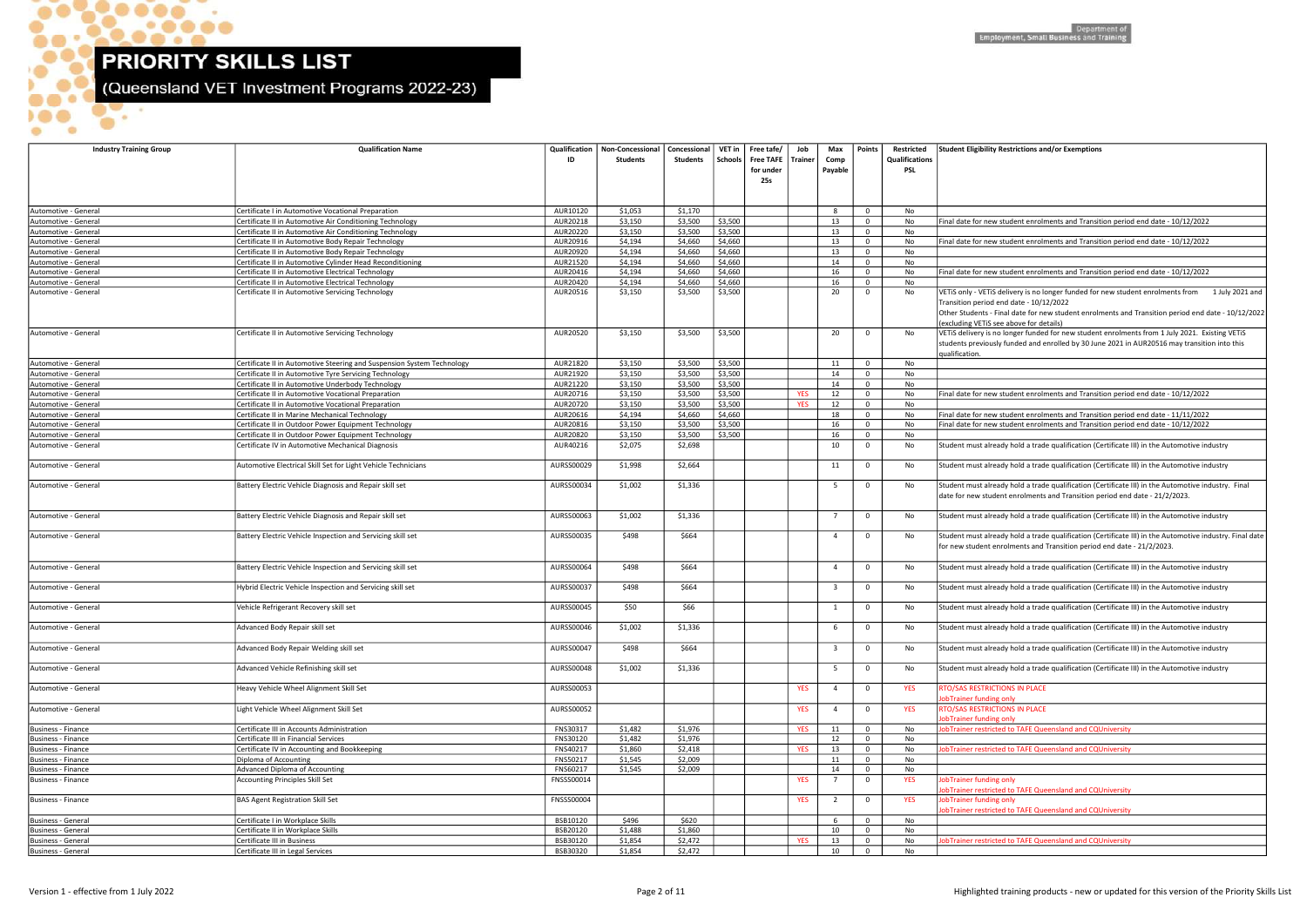$\bullet$ 

 $\bullet$ 

ъ.

 $\bullet$ 

 $\bullet$ 

 $\bullet\bullet\bullet\bullet$ 

 $\bullet$ 

 $\bullet$ 

D

(Queensland VET Investment Programs 2022-23)

| <b>Student Eligibility Restrictions and/or Exemptions</b>                                                                                                                                      |
|------------------------------------------------------------------------------------------------------------------------------------------------------------------------------------------------|
|                                                                                                                                                                                                |
|                                                                                                                                                                                                |
|                                                                                                                                                                                                |
| Final date for new student enrolments and Transition period end date - 10/12/2022                                                                                                              |
| Final date for new student enrolments and Transition period end date - 10/12/2022                                                                                                              |
|                                                                                                                                                                                                |
| Final date for new student enrolments and Transition period end date - 10/12/2022                                                                                                              |
| VETIS only - VETIS delivery is no longer funded for new student enrolments from<br>1 July 2021 and                                                                                             |
| Transition period end date - 10/12/2022<br>Other Students - Final date for new student enrolments and Transition period end date - 10/12/2022                                                  |
| (excluding VETiS see above for details)                                                                                                                                                        |
| VETIS delivery is no longer funded for new student enrolments from 1 July 2021. Existing VETIS<br>students previously funded and enrolled by 30 June 2021 in AUR20516 may transition into this |
| qualification.                                                                                                                                                                                 |
|                                                                                                                                                                                                |
| Final date for new student enrolments and Transition period end date - 10/12/2022                                                                                                              |
| Final date for new student enrolments and Transition period end date - 11/11/2022                                                                                                              |
| Final date for new student enrolments and Transition period end date - 10/12/2022                                                                                                              |
| Student must already hold a trade qualification (Certificate III) in the Automotive industry                                                                                                   |
| Student must already hold a trade qualification (Certificate III) in the Automotive industry                                                                                                   |
|                                                                                                                                                                                                |
| Student must already hold a trade qualification (Certificate III) in the Automotive industry. Final<br>date for new student enrolments and Transition period end date - 21/2/2023.             |
|                                                                                                                                                                                                |
| Student must already hold a trade qualification (Certificate III) in the Automotive industry                                                                                                   |
| Student must already hold a trade qualification (Certificate III) in the Automotive industry. Final date<br>for new student enrolments and Transition period end date - 21/2/2023.             |
| Student must already hold a trade qualification (Certificate III) in the Automotive industry                                                                                                   |
| Student must already hold a trade qualification (Certificate III) in the Automotive industry                                                                                                   |
| Student must already hold a trade qualification (Certificate III) in the Automotive industry                                                                                                   |
|                                                                                                                                                                                                |
| Student must already hold a trade qualification (Certificate III) in the Automotive industry                                                                                                   |
| Student must already hold a trade qualification (Certificate III) in the Automotive industry                                                                                                   |
| Student must already hold a trade qualification (Certificate III) in the Automotive industry                                                                                                   |
| RTO/SAS RESTRICTIONS IN PLACE<br>JobTrainer funding only                                                                                                                                       |
| RTO/SAS RESTRICTIONS IN PLACE                                                                                                                                                                  |
| JobTrainer funding only<br>JobTrainer restricted to TAFE Queensland and CQUniversity                                                                                                           |
| JobTrainer restricted to TAFE Queensland and CQUniversity                                                                                                                                      |
|                                                                                                                                                                                                |
| JobTrainer funding only                                                                                                                                                                        |
| JobTrainer restricted to TAFE Queensland and CQUniversity<br>JobTrainer funding only                                                                                                           |
| JobTrainer restricted to TAFE Queensland and CQUniversity                                                                                                                                      |
|                                                                                                                                                                                                |
| JobTrainer restricted to TAFE Queensland and CQUniversity                                                                                                                                      |
|                                                                                                                                                                                                |

| <b>Industry Training Group</b>               | <b>Qualification Name</b>                                                         | Qualification            | Non-Concessional   Concessional  <br><b>Students</b> | Students | VET in<br>Schools | Free tafe/<br>Free TAFE   Trainer<br>for under<br>25s | Job        | Max<br>Comp<br>Payable  | Points                     | Restricted<br>Qualifications<br>PSL | <b>Student Eligibility Restrictions and/or Exemptions</b>                                                                                                                                                                                                                                      |
|----------------------------------------------|-----------------------------------------------------------------------------------|--------------------------|------------------------------------------------------|----------|-------------------|-------------------------------------------------------|------------|-------------------------|----------------------------|-------------------------------------|------------------------------------------------------------------------------------------------------------------------------------------------------------------------------------------------------------------------------------------------------------------------------------------------|
|                                              |                                                                                   |                          |                                                      |          |                   |                                                       |            |                         |                            |                                     |                                                                                                                                                                                                                                                                                                |
| Automotive - General                         | Certificate I in Automotive Vocational Preparation                                | AUR10120                 | \$1,053                                              | \$1,170  |                   |                                                       |            | -8                      | $\mathbf{0}$               | No                                  |                                                                                                                                                                                                                                                                                                |
| Automotive - General                         | Certificate II in Automotive Air Conditioning Technology                          | AUR20218                 | \$3,150                                              | \$3,500  | \$3,500           |                                                       |            | 13                      | $\mathbf 0$                | No                                  | Final date for new student enrolments and Transition period end date - 10/12/2022                                                                                                                                                                                                              |
| Automotive - General                         | Certificate II in Automotive Air Conditioning Technology                          | AUR20220                 | \$3,150                                              | \$3,500  | \$3,500           |                                                       |            | 13                      | $\mathbf{0}$               | No                                  |                                                                                                                                                                                                                                                                                                |
| Automotive - General                         | Certificate II in Automotive Body Repair Technology                               | AUR20916                 | \$4,194                                              | \$4,660  | \$4,660           |                                                       |            | 13                      | $\mathbf{0}$               | No                                  | Final date for new student enrolments and Transition period end date - 10/12/2022                                                                                                                                                                                                              |
| Automotive - General                         | Certificate II in Automotive Body Repair Technology                               | AUR20920                 | \$4,194                                              | \$4,660  | \$4,660           |                                                       |            | 13                      | $\overline{0}$             | No                                  |                                                                                                                                                                                                                                                                                                |
| Automotive - General                         | Certificate II in Automotive Cylinder Head Reconditioning                         | AUR21520                 | \$4,194                                              | \$4,660  | \$4,660           |                                                       |            | 14                      | $\mathbf 0$                | No                                  |                                                                                                                                                                                                                                                                                                |
| Automotive - General                         | Certificate II in Automotive Electrical Technology                                | AUR20416                 | \$4,194                                              | \$4,660  | \$4,660           |                                                       |            | 16                      | $\mathbf 0$                | No                                  | Final date for new student enrolments and Transition period end date - 10/12/2022                                                                                                                                                                                                              |
| Automotive - General                         | Certificate II in Automotive Electrical Technology                                | AUR20420                 | \$4,194                                              | \$4,660  | \$4,660           |                                                       |            | 16                      | $\mathbf{0}$               | No                                  |                                                                                                                                                                                                                                                                                                |
| Automotive - General                         | Certificate II in Automotive Servicing Technology                                 | AUR20516                 | \$3,150                                              | \$3,500  | \$3,500           |                                                       |            | 20                      | $\mathbf 0$                | No                                  | 1 July 2021 and<br>VETIS only - VETIS delivery is no longer funded for new student enrolments from<br>Transition period end date - 10/12/2022<br>Other Students - Final date for new student enrolments and Transition period end date - 10/12/2022<br>(excluding VETIS see above for details) |
| Automotive - General                         | Certificate II in Automotive Servicing Technology                                 | AUR20520                 | \$3,150                                              | \$3,500  | \$3,500           |                                                       |            | 20                      | $\mathbf 0$                | No                                  | VETIS delivery is no longer funded for new student enrolments from 1 July 2021. Existing VETIS<br>students previously funded and enrolled by 30 June 2021 in AUR20516 may transition into this<br>ualification.                                                                                |
| Automotive - General                         | Certificate II in Automotive Steering and Suspension System Technology            | AUR21820                 | \$3,150                                              | \$3,500  | \$3,500           |                                                       |            | 11                      | $\overline{0}$             | No                                  |                                                                                                                                                                                                                                                                                                |
| Automotive - General                         | Certificate II in Automotive Tyre Servicing Technology                            | AUR21920                 | \$3,150                                              | \$3,500  | \$3,500           |                                                       |            | 14                      | $\mathbf 0$                | No                                  |                                                                                                                                                                                                                                                                                                |
| Automotive - General                         | Certificate II in Automotive Underbody Technology                                 | AUR21220                 | \$3,150                                              | \$3,500  | \$3,500           |                                                       |            | 14                      | $\mathbf 0$                | No                                  |                                                                                                                                                                                                                                                                                                |
| Automotive - General                         | Certificate II in Automotive Vocational Preparation                               | AUR20716                 | \$3,150                                              | \$3,500  | \$3,500           |                                                       | <b>YES</b> | 12                      | $\mathbf 0$                | No                                  | Final date for new student enrolments and Transition period end date - 10/12/2022                                                                                                                                                                                                              |
| Automotive - General                         | Certificate II in Automotive Vocational Preparation                               | AUR20720                 | \$3,150                                              | \$3,500  | \$3,500           |                                                       | <b>YES</b> | 12                      | $\mathbf{0}$               | No                                  |                                                                                                                                                                                                                                                                                                |
| Automotive - General                         | Certificate II in Marine Mechanical Technology                                    | AUR20616                 | \$4,194                                              | \$4,660  | \$4,660           |                                                       |            | 18                      | $\mathbf 0$                | No                                  | Final date for new student enrolments and Transition period end date - 11/11/2022                                                                                                                                                                                                              |
| Automotive - General                         | Certificate II in Outdoor Power Equipment Technology                              | AUR20816                 | \$3,150                                              | \$3,500  | \$3,500           |                                                       |            | 16                      | $\mathbf 0$                | No                                  | Final date for new student enrolments and Transition period end date - 10/12/2022                                                                                                                                                                                                              |
| Automotive - General                         | Certificate II in Outdoor Power Equipment Technology                              | AUR20820                 | \$3,150                                              | \$3,500  | \$3,500           |                                                       |            | 16                      | $\mathbf 0$                | No                                  |                                                                                                                                                                                                                                                                                                |
| Automotive - General                         | Certificate IV in Automotive Mechanical Diagnosis                                 | AUR40216                 | \$2,075                                              | \$2,698  |                   |                                                       |            | 10                      | $\mathbf 0$                | No                                  | Student must already hold a trade qualification (Certificate III) in the Automotive industry                                                                                                                                                                                                   |
| Automotive - General                         | Automotive Electrical Skill Set for Light Vehicle Technicians                     | AURSS00029               | \$1,998                                              | \$2,664  |                   |                                                       |            | 11                      | $\mathbf 0$                | No                                  | Student must already hold a trade qualification (Certificate III) in the Automotive industry                                                                                                                                                                                                   |
| Automotive - General                         | Battery Electric Vehicle Diagnosis and Repair skill set                           | AURSS00034               | \$1,002                                              | \$1,336  |                   |                                                       |            | -5                      | $\mathbf 0$                | No                                  | Student must already hold a trade qualification (Certificate III) in the Automotive industry. Final<br>date for new student enrolments and Transition period end date - 21/2/2023.                                                                                                             |
| Automotive - General                         | Battery Electric Vehicle Diagnosis and Repair skill set                           | AURSS00063               | \$1,002                                              | \$1,336  |                   |                                                       |            | $\overline{7}$          | $\mathbf 0$                | No                                  | Student must already hold a trade qualification (Certificate III) in the Automotive industry                                                                                                                                                                                                   |
| Automotive - General                         | Battery Electric Vehicle Inspection and Servicing skill set                       | AURSS00035               | \$498                                                | \$664    |                   |                                                       |            | -4                      | $\mathbf 0$                | No                                  | Student must already hold a trade qualification (Certificate III) in the Automotive industry. Final date<br>for new student enrolments and Transition period end date - 21/2/2023.                                                                                                             |
| Automotive - General                         | Battery Electric Vehicle Inspection and Servicing skill set                       | AURSS00064               | \$498                                                | \$664    |                   |                                                       |            | $\overline{4}$          | $\mathbf 0$                | No                                  | Student must already hold a trade qualification (Certificate III) in the Automotive industry                                                                                                                                                                                                   |
| Automotive - General                         | Hybrid Electric Vehicle Inspection and Servicing skill set                        | AURSS00037               | \$498                                                | \$664    |                   |                                                       |            | $\overline{\mathbf{3}}$ | $\mathbf{0}$               | No                                  | Student must already hold a trade qualification (Certificate III) in the Automotive industry                                                                                                                                                                                                   |
| Automotive - General                         | Vehicle Refrigerant Recovery skill set                                            | AURSS00045               | \$50                                                 | \$66     |                   |                                                       |            | 1                       | $\mathbf 0$                | No                                  | Student must already hold a trade qualification (Certificate III) in the Automotive industry                                                                                                                                                                                                   |
| Automotive - General                         | Advanced Body Repair skill set                                                    | AURSS00046               | \$1,002                                              | \$1,336  |                   |                                                       |            | - 6                     | $\mathbf 0$                | No                                  | Student must already hold a trade qualification (Certificate III) in the Automotive industry                                                                                                                                                                                                   |
| Automotive - General                         | Advanced Body Repair Welding skill set                                            | AURSS00047               | \$498                                                | \$664    |                   |                                                       |            | - 3                     | $\mathbf 0$                | No                                  | Student must already hold a trade qualification (Certificate III) in the Automotive industry                                                                                                                                                                                                   |
| Automotive - General<br>Automotive - General | Advanced Vehicle Refinishing skill set<br>Heavy Vehicle Wheel Alignment Skill Set | AURSS00048<br>AURSS00053 | \$1,002                                              | \$1,336  |                   |                                                       | <b>YES</b> | - 5<br>$\overline{4}$   | $\mathbf 0$<br>$\mathbf 0$ | No<br><b>YES</b>                    | Student must already hold a trade qualification (Certificate III) in the Automotive industry<br>RTO/SAS RESTRICTIONS IN PLACE                                                                                                                                                                  |
| Automotive - General                         | Light Vehicle Wheel Alignment Skill Set                                           | AURSS00052               |                                                      |          |                   |                                                       | <b>YES</b> | $\overline{4}$          | $\mathbf 0$                | <b>YES</b>                          | obTrainer funding only<br><b>RTO/SAS RESTRICTIONS IN PLACE</b>                                                                                                                                                                                                                                 |
| Business - Finance                           | Certificate III in Accounts Administration                                        | FNS30317                 | \$1,482                                              | \$1,976  |                   |                                                       | <b>YES</b> | 11                      | $\overline{0}$             | No                                  | obTrainer funding only<br>JobTrainer restricted to TAFE Queensland and CQUniversity                                                                                                                                                                                                            |
| Business - Finance                           | Certificate III in Financial Services                                             | FNS30120                 | \$1,482                                              | \$1,976  |                   |                                                       |            | 12                      | $\mathbf 0$                | No                                  |                                                                                                                                                                                                                                                                                                |
| Business - Finance                           | Certificate IV in Accounting and Bookkeeping                                      | FNS40217                 | \$1,860                                              | \$2,418  |                   |                                                       | <b>YES</b> | 13                      | $\mathbf{0}$               | No                                  | obTrainer restricted to TAFE Queensland and CQUniversity                                                                                                                                                                                                                                       |
| Business - Finance                           | Diploma of Accounting                                                             | FNS50217                 | \$1,545                                              | \$2,009  |                   |                                                       |            | 11                      | $\mathbf 0$                | No                                  |                                                                                                                                                                                                                                                                                                |
| Business - Finance                           | Advanced Diploma of Accounting                                                    | FNS60217                 | \$1,545                                              | \$2,009  |                   |                                                       |            | 14                      | $\mathbf 0$                | No                                  |                                                                                                                                                                                                                                                                                                |
| Business - Finance                           | <b>Accounting Principles Skill Set</b>                                            | FNSSS00014               |                                                      |          |                   |                                                       | <b>YES</b> | 7                       | $\mathbf 0$                | <b>YES</b>                          | obTrainer funding only<br>obTrainer restricted to TAFE Queensland and CQUniversity                                                                                                                                                                                                             |
| Business - Finance                           | <b>BAS Agent Registration Skill Set</b>                                           | <b>FNSSS00004</b>        |                                                      |          |                   |                                                       | <b>YES</b> | $\overline{2}$          | $\mathbf 0$                | <b>YES</b>                          | JobTrainer funding only<br>obTrainer restricted to TAFE Queensland and CQUniversity                                                                                                                                                                                                            |
| Business - General                           | Certificate I in Workplace Skills                                                 | BSB10120                 | \$496                                                | \$620    |                   |                                                       |            |                         | $\mathbf{0}$               | No                                  |                                                                                                                                                                                                                                                                                                |
| Business - General                           | Certificate II in Workplace Skills                                                | BSB20120                 | \$1,488                                              | \$1,860  |                   |                                                       |            | 10                      | $\mathbf{0}$               | No                                  |                                                                                                                                                                                                                                                                                                |
| Business - General                           | Certificate III in Business                                                       | BSB30120                 | \$1,854                                              | \$2,472  |                   |                                                       | <b>YES</b> | 13                      | $\overline{0}$             | No                                  | obTrainer restricted to TAFE Queensland and CQUniversity                                                                                                                                                                                                                                       |
| Business - General                           | Certificate III in Legal Services                                                 | BSB30320                 | \$1,854                                              | \$2,472  |                   |                                                       |            | 10                      | $\overline{0}$             | No                                  |                                                                                                                                                                                                                                                                                                |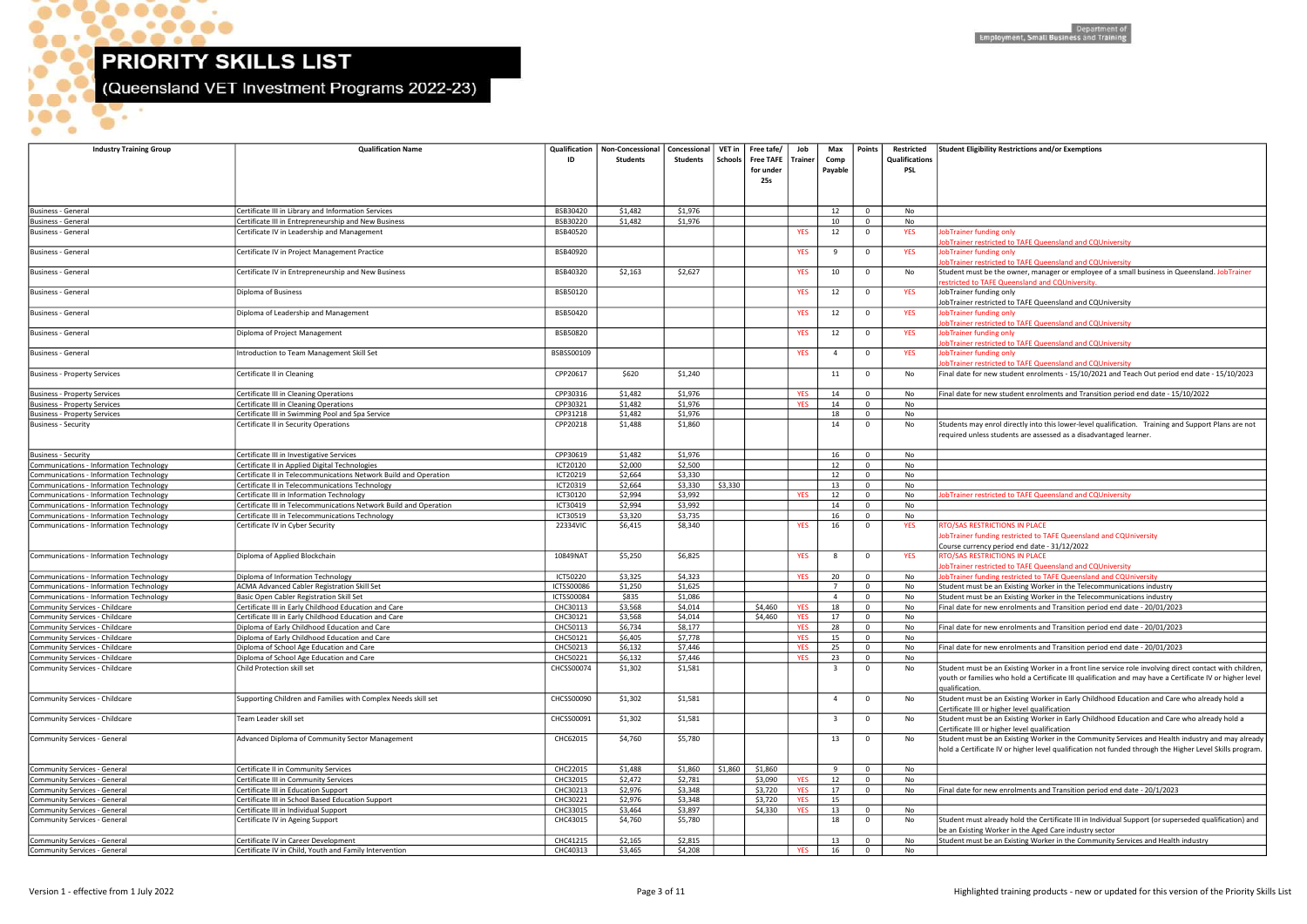$\bullet$ .

 $\bullet$ .

 $\bullet$ 

 $\bullet\bullet\bullet\bullet$ 

 $\bullet$ 

 $\bullet$ 

(Queensland VET Investment Programs 2022-23)

| <b>Industry Training Group</b>                                   | <b>Qualification Name</b>                                                                                   | ID                   | Qualification   Non-Concessional<br><b>Students</b> | Concessional<br>Students | <b>VET in</b><br><b>Schools</b> | Free tafe/<br>Free TAFE   Trainer<br>for under<br>25s | Job                      | Max<br>Comp<br>Payable | Points                     | Restricted<br><b>Qualifications</b><br><b>PSL</b> | <b>Student Eligibility Restrictions an</b>                                                             |
|------------------------------------------------------------------|-------------------------------------------------------------------------------------------------------------|----------------------|-----------------------------------------------------|--------------------------|---------------------------------|-------------------------------------------------------|--------------------------|------------------------|----------------------------|---------------------------------------------------|--------------------------------------------------------------------------------------------------------|
| Business - General                                               |                                                                                                             |                      |                                                     |                          |                                 |                                                       |                          | 12                     |                            |                                                   |                                                                                                        |
| Business - General                                               | Certificate III in Library and Information Services<br>Certificate III in Entrepreneurship and New Business | BSB30420<br>BSB30220 | \$1,482<br>\$1,482                                  | \$1,976<br>\$1,976       |                                 |                                                       |                          | 10                     | $\mathbf 0$<br>$\mathbf 0$ | No<br>No                                          |                                                                                                        |
| <b>Business - General</b>                                        | Certificate IV in Leadership and Management                                                                 | BSB40520             |                                                     |                          |                                 |                                                       | <b>YES</b>               | 12                     | $\mathbf 0$                | <b>YES</b>                                        | JobTrainer funding only<br>JobTrainer restricted to TAFE Que                                           |
| Business - General                                               | Certificate IV in Project Management Practice                                                               | BSB40920             |                                                     |                          |                                 |                                                       | <b>YES</b>               | 9                      | $\mathbf 0$                | <b>YES</b>                                        | JobTrainer funding only<br>JobTrainer restricted to TAFE Que                                           |
| Business - General                                               | Certificate IV in Entrepreneurship and New Business                                                         | BSB40320             | \$2,163                                             | \$2,627                  |                                 |                                                       | <b>YES</b>               | 10                     | $\mathbf 0$                | No                                                | Student must be the owner, man<br>restricted to TAFE Queensland an                                     |
| Business - General                                               | Diploma of Business                                                                                         | BSB50120             |                                                     |                          |                                 |                                                       | <b>YES</b>               | 12                     | $\mathbf 0$                | <b>YES</b>                                        | JobTrainer funding only<br>JobTrainer restricted to TAFE Que                                           |
| Business - General                                               | Diploma of Leadership and Management                                                                        | BSB50420             |                                                     |                          |                                 |                                                       | <b>YES</b>               | 12                     | $\mathbf 0$                | <b>YES</b>                                        | JobTrainer funding only<br>JobTrainer restricted to TAFE Que                                           |
| Business - General                                               | Diploma of Project Management                                                                               | BSB50820             |                                                     |                          |                                 |                                                       | <b>YES</b>               | 12                     | $\mathbf 0$                | <b>YES</b>                                        | JobTrainer funding only<br><b>lobTrainer restricted to TAFE Que</b>                                    |
| Business - General                                               | Introduction to Team Management Skill Set                                                                   | BSBSS00109           |                                                     |                          |                                 |                                                       | <b>YES</b>               | 4                      | $\mathbf 0$                | <b>YES</b>                                        | JobTrainer funding only<br><b>lobTrainer restricted to TAFE Que</b>                                    |
| <b>Business - Property Services</b>                              | Certificate II in Cleaning                                                                                  | CPP20617             | \$620                                               | \$1,240                  |                                 |                                                       |                          | 11                     | $\mathbf 0$                | No                                                | Final date for new student enroln                                                                      |
| <b>Business - Property Services</b>                              | Certificate III in Cleaning Operations                                                                      | CPP30316             | \$1,482                                             | \$1,976                  |                                 |                                                       | <b>YES</b>               | 14                     | $\mathbf 0$                | No                                                | Final date for new student enroln                                                                      |
| <b>Business - Property Services</b>                              | Certificate III in Cleaning Operations                                                                      | CPP30321             | \$1,482                                             | \$1,976                  |                                 |                                                       | <b>YES</b>               | 14                     | $\mathbf 0$                | No                                                |                                                                                                        |
| <b>Business - Property Services</b>                              | Certificate III in Swimming Pool and Spa Service                                                            | CPP31218             | \$1,482                                             | \$1,976                  |                                 |                                                       |                          | 18                     | $\mathbf 0$                | No                                                |                                                                                                        |
| Business - Security                                              | Certificate II in Security Operations                                                                       | CPP20218             | \$1,488                                             | \$1,860                  |                                 |                                                       |                          | 14                     | $\mathbf 0$                | No                                                | Students may enrol directly into t<br>required unless students are asse                                |
| <b>Business - Security</b>                                       | Certificate III in Investigative Services                                                                   | CPP30619             | \$1,482                                             | \$1,976                  |                                 |                                                       |                          | 16                     | $\mathbf 0$                | No                                                |                                                                                                        |
| Communications - Information Technology                          | Certificate II in Applied Digital Technologies                                                              | ICT20120             | \$2,000                                             | \$2,500                  |                                 |                                                       |                          | 12                     | $\mathbf 0$                | No                                                |                                                                                                        |
| <b>Communications - Information Technology</b>                   | Certificate II in Telecommunications Network Build and Operation                                            | ICT20219             | \$2,664                                             | \$3,330                  |                                 |                                                       |                          | 12                     | $\mathbf 0$                | No                                                |                                                                                                        |
| <b>Communications - Information Technology</b>                   | Certificate II in Telecommunications Technology                                                             | ICT20319             | \$2,664                                             | \$3,330                  | \$3,330                         |                                                       |                          | 13                     | $\mathbf 0$                | No                                                |                                                                                                        |
| Communications - Information Technology                          | Certificate III in Information Technology                                                                   | ICT30120             | \$2,994                                             | \$3,992                  |                                 |                                                       | <b>YES</b>               | 12                     | $\mathbf 0$                | No                                                | <b>lobTrainer restricted to TAFE Que</b>                                                               |
| <b>Communications - Information Technology</b>                   | Certificate III in Telecommunications Network Build and Operation                                           | ICT30419             | \$2,994                                             | \$3,992                  |                                 |                                                       |                          | 14                     | $\mathbf 0$                | No                                                |                                                                                                        |
| Communications - Information Technology                          | Certificate III in Telecommunications Technology                                                            | ICT30519             | \$3,320                                             | \$3,735                  |                                 |                                                       |                          | 16                     | $\mathbf 0$                | No                                                |                                                                                                        |
| Communications - Information Technology                          | Certificate IV in Cyber Security                                                                            | 22334VIC             | \$6,415                                             | \$8,340                  |                                 |                                                       | <b>YES</b>               | 16                     | $\mathbf 0$                | <b>YES</b>                                        | RTO/SAS RESTRICTIONS IN PLACE<br>JobTrainer funding restricted to T<br>Course currency period end date |
| Communications - Information Technology                          | Diploma of Applied Blockchain                                                                               | 10849NAT             | \$5,250                                             | \$6,825                  |                                 |                                                       | <b>YES</b>               | 8                      | $\mathbf 0$                | <b>YES</b>                                        | <b>RTO/SAS RESTRICTIONS IN PLACE</b><br>obTrainer restricted to TAFE Que                               |
| <b>Communications - Information Technology</b>                   | Diploma of Information Technology                                                                           | ICT50220             | \$3,325                                             | \$4,323                  |                                 |                                                       | <b>YES</b>               | 20                     | $\mathbf 0$                | No                                                | JobTrainer funding restricted to T                                                                     |
| Communications - Information Technology                          | ACMA Advanced Cabler Registration Skill Set                                                                 | <b>ICTSS00086</b>    | \$1,250                                             | \$1,625                  |                                 |                                                       |                          | $\overline{7}$         | $\mathbf 0$                | No                                                | Student must be an Existing Worl                                                                       |
| Communications - Information Technology                          | Basic Open Cabler Registration Skill Set                                                                    | ICTSS00084           | \$835                                               | \$1,086                  |                                 |                                                       |                          | $\overline{4}$         | $\mathbf 0$                | No                                                | Student must be an Existing Worl                                                                       |
| Community Services - Childcare                                   | Certificate III in Early Childhood Education and Care                                                       | CHC30113             | \$3,568                                             | \$4,014                  |                                 | \$4,460                                               | <b>YES</b>               | 18                     | $\mathbf 0$                | No                                                | Final date for new enrolments an                                                                       |
| Community Services - Childcare                                   | Certificate III in Early Childhood Education and Care                                                       | CHC30121             | \$3,568                                             | \$4,014                  |                                 | \$4,460                                               | <b>YES</b>               | 17                     | $\mathbf 0$                | No                                                |                                                                                                        |
| Community Services - Childcare                                   | Diploma of Early Childhood Education and Care                                                               | CHC50113             | \$6,734                                             | \$8,177                  |                                 |                                                       | <b>YES</b>               | 28                     | $\mathbf 0$                | No                                                | Final date for new enrolments an                                                                       |
| Community Services - Childcare<br>Community Services - Childcare | Diploma of Early Childhood Education and Care<br>Diploma of School Age Education and Care                   | CHC50121<br>CHC50213 | \$6,405<br>\$6,132                                  | \$7,778<br>\$7,446       |                                 |                                                       | <b>YES</b><br><b>YES</b> | 15<br>25               | $\mathbf 0$<br>$\mathbf 0$ | No                                                | Final date for new enrolments an                                                                       |
| Community Services - Childcare                                   | Diploma of School Age Education and Care                                                                    | CHC50221             | \$6,132                                             | \$7,446                  |                                 |                                                       | <b>YES</b>               | 23                     | $\mathbf 0$                | No<br>No                                          |                                                                                                        |
| Community Services - Childcare                                   | Child Protection skill set                                                                                  | CHCSS00074           | \$1,302                                             | \$1,581                  |                                 |                                                       |                          | 3                      | $\mathbf 0$                | No                                                | Student must be an Existing Worl<br>youth or families who hold a Cert<br>qualification.                |
| Community Services - Childcare                                   | Supporting Children and Families with Complex Needs skill set                                               | <b>CHCSS00090</b>    | \$1,302                                             | \$1,581                  |                                 |                                                       |                          | 4                      | $\mathbf 0$                | No                                                | Student must be an Existing Worl<br>Certificate III or higher level quali                              |
| Community Services - Childcare                                   | Team Leader skill set                                                                                       | CHCSS00091           | \$1,302                                             | \$1,581                  |                                 |                                                       |                          | 3                      | $\mathbf 0$                | No                                                | Student must be an Existing Worl<br>Certificate III or higher level quali                              |
| Community Services - General                                     | Advanced Diploma of Community Sector Management                                                             | CHC62015             | \$4,760                                             | \$5,780                  |                                 |                                                       |                          | 13                     | $\mathbf{0}$               | No                                                | Student must be an Existing Worl<br>hold a Certificate IV or higher leve                               |
| Community Services - General                                     | Certificate II in Community Services                                                                        | CHC22015             | \$1,488                                             | \$1,860                  | \$1,860                         | \$1,860                                               |                          | 9                      | $\mathbf 0$                | No                                                |                                                                                                        |
| Community Services - General                                     | Certificate III in Community Services                                                                       | CHC32015             | \$2,472                                             | \$2,781                  |                                 | \$3,090                                               | <b>YES</b>               | 12                     | $\mathbf 0$                | No                                                |                                                                                                        |
| Community Services - General                                     | Certificate III in Education Support                                                                        | CHC30213             | \$2,976                                             | \$3,348                  |                                 | \$3,720                                               | <b>YES</b>               | 17                     | $\mathbf 0$                | No                                                | Final date for new enrolments an                                                                       |
| Community Services - General                                     | Certificate III in School Based Education Support                                                           | CHC30221             | \$2,976                                             | \$3,348                  |                                 | \$3,720                                               | <b>YES</b>               | 15                     |                            |                                                   |                                                                                                        |
| Community Services - General                                     | Certificate III in Individual Support                                                                       | CHC33015             | \$3,464                                             | \$3,897                  |                                 | \$4,330                                               | <b>YES</b>               | 13                     | $\mathbf 0$                | No                                                |                                                                                                        |
| Community Services - General                                     | Certificate IV in Ageing Support                                                                            | CHC43015             | \$4,760                                             | \$5,780                  |                                 |                                                       |                          | 18                     | $\mathbf 0$                | No                                                | Student must already hold the Ce<br>be an Existing Worker in the Ageo                                  |
| Community Services - General                                     | Certificate IV in Career Development                                                                        | CHC41215             | \$2,165                                             | \$2,815                  |                                 |                                                       |                          | 13                     | $\mathbf 0$                | No                                                | Student must be an Existing Worl                                                                       |
| Community Services - General                                     | Certificate IV in Child, Youth and Family Intervention                                                      | CHC40313             | \$3,465                                             | \$4,208                  |                                 |                                                       | <b>YES</b>               | 16                     | $\mathbf 0$                | No                                                |                                                                                                        |

### sility Restrictions and/or Exemptions

**The United State of Table Inconstructed to TAFE Queensland and CQUniversity**<br>Intricted to TAFE Queensland and CQUniversity

Interacted to TAFE Queensland and CQUniversity

t be the owner, manager or employee of a small business in Queensland. JobTrainer TAFE Queensland and CQUniversity<br>nding only

estricted to TAFE Queensland and CQUniversity

estricted to TAFE Queensland and CQUniversity<br>unding only

stricted to TAFE Queensland and CQUniversity

stricted to TAFE Queensland and CQUniversity

 $B =$  new student enrolments - 15/10/2021 and Teach Out period end date - 15/10/2023

mew student enrolments and Transition period end date - 15/10/2022

 $\overline{\nu}$  enrol directly into this lower-level qualification. Training and Support Plans are not ess students are assessed as a disadvantaged learner.

### Stricted to TAFE Queensland and CQUniversity

anding restricted to TAFE Queensland and CQUniversity ncy period end date -  $31/12/2022$ 

stricted to TAFE Queensland and CQUniversity

nding restricted to TAFE Queensland and CQUniversity

t be an Existing Worker in the Telecommunications industry t be an Existing Worker in the Telecommunications industry

r new enrolments and Transition period end date - 20/01/2023

new enrolments and Transition period end date - 20/01/2023

mew enrolments and Transition period end date - 20/01/2023

t be an Existing Worker in a front line service role involving direct contact with children ilies who hold a Certificate III qualification and may have a Certificate IV or higher level

t be an Existing Worker in Early Childhood Education and Care who already hold a or higher level qualification

t be an Existing Worker in Early Childhood Education and Care who already hold a I or higher level qualification

be an Existing Worker in the Community Services and Health industry and may already cate IV or higher level qualification not funded through the Higher Level Skills program.

## new enrolments and Transition period end date - 20/1/2023

already hold the Certificate III in Individual Support (or superseded qualification) and **Worker in the Aged Care industry sector** t be an Existing Worker in the Community Services and Health industry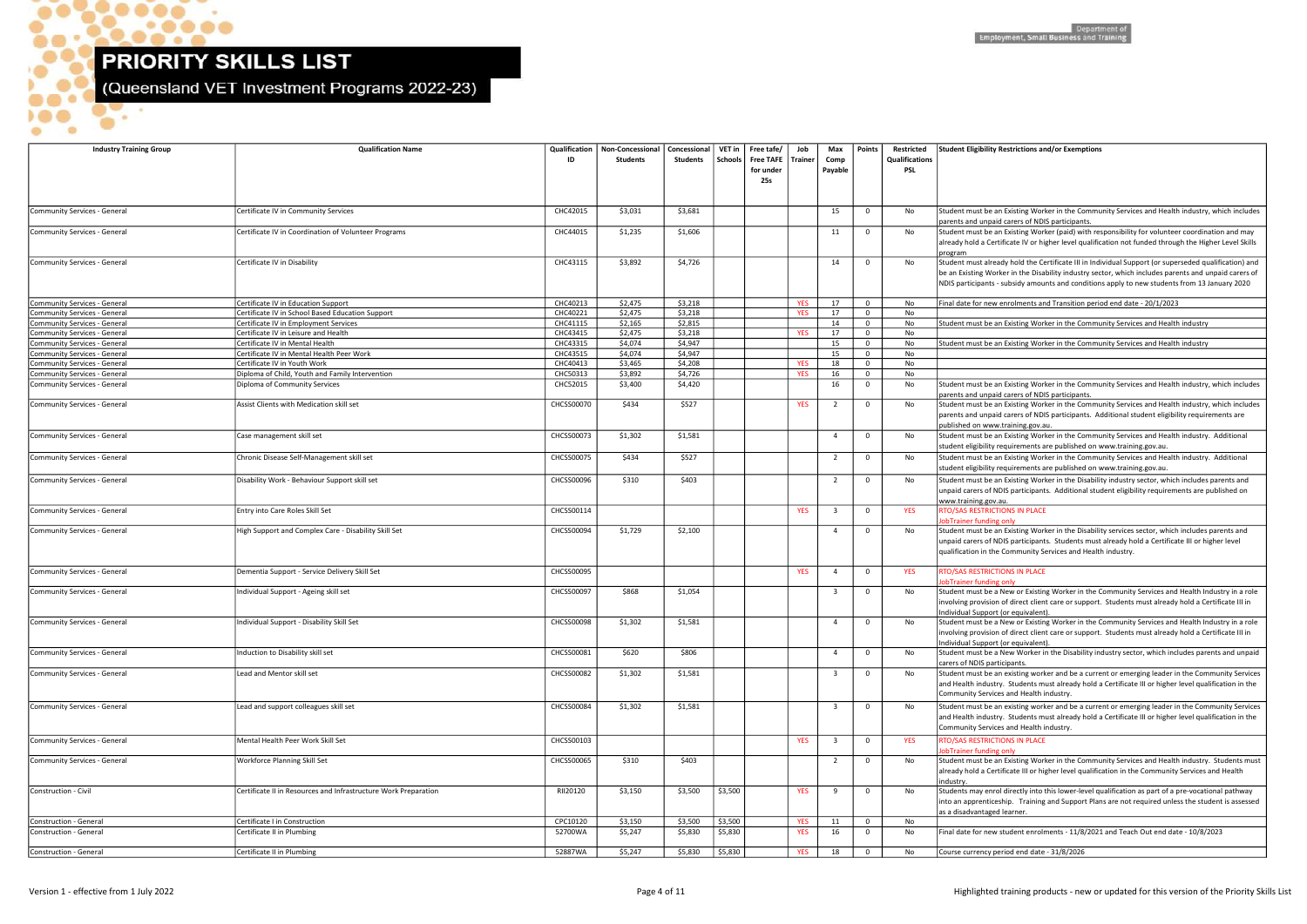\_\_\_  $\sim$ 

 $. **• • • •**$ 

 $\bullet$ 

 $\bullet\bullet\bullet^\bullet$ 

 $\bullet$ 

- 6

 $\bullet$ 

 $\bullet$ 

(Queensland VET Investment Programs 2022-23)

be an existing worker and be a current or emerging leader in the Community Services dustry. Students must already hold a Certificate III or higher level qualification in the Community Services and Health industry.

be an existing worker and be a current or emerging leader in the Community Services dustry. Students must already hold a Certificate III or higher level qualification in the ervices and Health industry.

be an Existing Worker in the Community Services and Health industry. Students must a Certificate III or higher level qualification in the Community Services and Health

enrol directly into this lower-level qualification as part of a pre-vocational pathway nticeship. Training and Support Plans are not required unless the student is assessed taged learner.

new student enrolments - 11/8/2021 and Teach Out end date - 10/8/2023

| <b>Industry Training Group</b>      | <b>Qualification Name</b>                                                 | Qualification<br>ID | Non-Concessional<br><b>Students</b> | Concessional<br><b>Students</b> | VET in<br>Schools | Free tafe $\sqrt{\phantom{a}}$<br>Free TAFE   Trainer<br>for under<br>25s | Job        | Max<br>Comp<br>Payable  | <b>Points</b>                          | Restricted<br><b>Qualifications</b><br>PSL | <b>Student Eligibility Restrictions and/or Exemp</b>                                                                                                                    |
|-------------------------------------|---------------------------------------------------------------------------|---------------------|-------------------------------------|---------------------------------|-------------------|---------------------------------------------------------------------------|------------|-------------------------|----------------------------------------|--------------------------------------------|-------------------------------------------------------------------------------------------------------------------------------------------------------------------------|
| Community Services - General        | Certificate IV in Community Services                                      | CHC42015            | \$3,031                             | \$3,681                         |                   |                                                                           |            | 15                      | $\mathbf 0$                            | No                                         | Student must be an Existing Worker in the Co                                                                                                                            |
| Community Services - General        | Certificate IV in Coordination of Volunteer Programs                      | CHC44015            | \$1,235                             | \$1,606                         |                   |                                                                           |            | 11                      | $\mathbf 0$                            | No                                         | parents and unpaid carers of NDIS participan<br>Student must be an Existing Worker (paid) wi<br>already hold a Certificate IV or higher level qu                        |
| Community Services - General        | Certificate IV in Disability                                              | CHC43115            | \$3,892                             | \$4,726                         |                   |                                                                           |            | 14                      | $\overline{\mathbf{0}}$                | No                                         | program<br>Student must already hold the Certificate III is<br>be an Existing Worker in the Disability industi<br>NDIS participants - subsidy amounts and cond          |
| Community Services - General        | Certificate IV in Education Support                                       | CHC40213            | \$2,475                             | \$3,218                         |                   |                                                                           | <b>YES</b> | 17                      | $\mathbf 0$                            | No                                         | Final date for new enrolments and Transition                                                                                                                            |
| <b>Community Services - General</b> | Certificate IV in School Based Education Support                          | CHC40221            | \$2,475                             | \$3,218                         |                   |                                                                           | <b>YES</b> | 17                      | $\mathbf 0$                            | No                                         |                                                                                                                                                                         |
| Community Services - General        | Certificate IV in Employment Services                                     | CHC41115            | \$2,165                             | \$2,815                         |                   |                                                                           |            | 14                      | $\mathbf 0$                            | No                                         | Student must be an Existing Worker in the Co                                                                                                                            |
| <b>Community Services - General</b> | Certificate IV in Leisure and Health                                      | CHC43415            | \$2,475                             | \$3,218                         |                   |                                                                           | <b>YES</b> | 17                      | $\mathbf 0$                            | No                                         |                                                                                                                                                                         |
| <b>Community Services - General</b> | Certificate IV in Mental Health                                           | CHC43315            | \$4,074                             | \$4,947                         |                   |                                                                           |            | 15                      | $\mathbf 0$                            | No                                         | Student must be an Existing Worker in the Co                                                                                                                            |
| <b>Community Services - General</b> | Certificate IV in Mental Health Peer Work                                 | CHC43515            | \$4,074                             | \$4,947                         |                   |                                                                           |            | 15                      | $\mathbf 0$                            | No                                         |                                                                                                                                                                         |
| <b>Community Services - General</b> | Certificate IV in Youth Work                                              | CHC40413            | \$3,465                             | \$4,208                         |                   |                                                                           | <b>YES</b> | 18                      | $\mathbf 0$                            | No                                         |                                                                                                                                                                         |
| <b>Community Services - General</b> | Diploma of Child, Youth and Family Intervention                           | CHC50313            | \$3,892                             | \$4,726<br>\$4,420              |                   |                                                                           | <b>YES</b> | 16<br>16                | $\mathbf 0$<br>$\overline{\mathbf{0}}$ | No<br>No                                   |                                                                                                                                                                         |
| <b>Community Services - General</b> | Diploma of Community Services<br>Assist Clients with Medication skill set | CHC52015            | \$3,400                             |                                 |                   |                                                                           |            | $\overline{2}$          |                                        |                                            | Student must be an Existing Worker in the Co<br>parents and unpaid carers of NDIS participan<br>Student must be an Existing Worker in the Co                            |
| Community Services - General        |                                                                           | <b>CHCSS00070</b>   | \$434                               | \$527                           |                   |                                                                           | <b>YES</b> |                         | $\mathbf 0$                            | No                                         | parents and unpaid carers of NDIS participan<br>published on www.training.gov.au.                                                                                       |
| Community Services - General        | Case management skill set                                                 | CHCSS00073          | \$1,302                             | \$1,581                         |                   |                                                                           |            | 4                       | $\mathbf 0$                            | No                                         | Student must be an Existing Worker in the Co<br>student eligibility requirements are published                                                                          |
| Community Services - General        | Chronic Disease Self-Management skill set                                 | <b>CHCSS00075</b>   | \$434                               | \$527                           |                   |                                                                           |            | 2                       | $\mathbf 0$                            | No                                         | Student must be an Existing Worker in the Co<br>student eligibility requirements are published                                                                          |
| Community Services - General        | Disability Work - Behaviour Support skill set                             | CHCSS00096          | \$310                               | \$403                           |                   |                                                                           |            | $\overline{2}$          | $\mathbf 0$                            | No                                         | Student must be an Existing Worker in the Di<br>unpaid carers of NDIS participants. Additiona                                                                           |
| Community Services - General        | Entry into Care Roles Skill Set                                           | CHCSS00114          |                                     |                                 |                   |                                                                           | <b>YES</b> | $\overline{\mathbf{3}}$ | $\mathbf 0$                            | <b>YES</b>                                 | www.training.gov.au.<br>RTO/SAS RESTRICTIONS IN PLACE                                                                                                                   |
| Community Services - General        | High Support and Complex Care - Disability Skill Set                      | <b>CHCSS00094</b>   | \$1,729                             | \$2,100                         |                   |                                                                           |            | $\overline{4}$          | $\mathbf 0$                            | No                                         | obTrainer funding only<br>Student must be an Existing Worker in the Di<br>unpaid carers of NDIS participants. Students<br>qualification in the Community Services and I |
| Community Services - General        | Dementia Support - Service Delivery Skill Set                             | CHCSS00095          |                                     |                                 |                   |                                                                           | <b>YES</b> | $\overline{4}$          | $\mathbf 0$                            | <b>YES</b>                                 | RTO/SAS RESTRICTIONS IN PLACE<br>obTrainer funding only                                                                                                                 |
| Community Services - General        | ndividual Support - Ageing skill set                                      | <b>CHCSS00097</b>   | \$868                               | \$1,054                         |                   |                                                                           |            | $\overline{\mathbf{3}}$ | $\mathbf 0$                            | No                                         | Student must be a New or Existing Worker in<br>nvolving provision of direct client care or sup                                                                          |
| Community Services - General        | Individual Support - Disability Skill Set                                 | <b>CHCSS00098</b>   | \$1,302                             | \$1,581                         |                   |                                                                           |            | $\overline{4}$          | $\mathbf 0$                            | No.                                        | ndividual Support (or equivalent).<br>Student must be a New or Existing Worker in<br>involving provision of direct client care or sup                                   |
| Community Services - General        | nduction to Disability skill set                                          | CHCSS00081          | \$620                               | \$806                           |                   |                                                                           |            | $\overline{4}$          | $\mathbf 0$                            | No                                         | Individual Support (or equivalent).<br>Student must be a New Worker in the Disabil<br>carers of NDIS participants.                                                      |
| Community Services - General        | Lead and Mentor skill set                                                 | CHCSS00082          | \$1,302                             | \$1,581                         |                   |                                                                           |            | $\overline{\mathbf{3}}$ | $\mathbf 0$                            | No                                         | Student must be an existing worker and be a<br>and Health industry. Students must already h<br>Community Services and Health industry.                                  |
| Community Services - General        | Lead and support colleagues skill set                                     | CHCSS00084          | \$1,302                             | \$1,581                         |                   |                                                                           |            | $\overline{3}$          | $\mathbf 0$                            | No                                         | Student must be an existing worker and be a<br>and Health industry. Students must already h<br>Community Services and Health industry.                                  |
| Community Services - General        | Mental Health Peer Work Skill Set                                         | CHCSS00103          |                                     |                                 |                   |                                                                           | <b>YES</b> | $\overline{\mathbf{3}}$ | $\mathbf 0$                            | <b>YES</b>                                 | RTO/SAS RESTRICTIONS IN PLACE<br>lobTrainer funding only                                                                                                                |
| Community Services - General        | Workforce Planning Skill Set                                              | <b>CHCSS00065</b>   | \$310                               | \$403                           |                   |                                                                           |            | $\overline{2}$          | $\mathbf 0$                            | No                                         | Student must be an Existing Worker in the Co<br>already hold a Certificate III or higher level qu<br>industry.                                                          |
| Construction - Civil                | Certificate II in Resources and Infrastructure Work Preparation           | RII20120            | \$3,150                             | \$3,500                         | \$3,500           |                                                                           | <b>YES</b> | 9                       | $\mathbf 0$                            | No                                         | Students may enrol directly into this lower-le<br>into an apprenticeship. Training and Suppor<br>as a disadvantaged learner.                                            |
| Construction - General              | Certificate I in Construction                                             | CPC10120            | \$3,150                             | \$3,500                         | \$3,500           |                                                                           | <b>YES</b> | 11                      | $\mathbf 0$                            | No                                         |                                                                                                                                                                         |
| Construction - General              | Certificate II in Plumbing                                                | 52700WA             | \$5,247                             | \$5,830                         | \$5,830           |                                                                           | <b>YES</b> | 16                      | $\mathbf 0$                            | No                                         | Final date for new student enrolments - 11/8                                                                                                                            |
| Construction - General              | Certificate II in Plumbing                                                | 52887WA             | \$5,247                             | \$5,830                         | \$5,830           |                                                                           | <b>YES</b> | 18                      | $\mathbf 0$                            | No                                         | Course currency period end date - 31/8/2026                                                                                                                             |

be an Existing Worker in the Community Services and Health industry, which includes npaid carers of NDIS participants.

be an Existing Worker (paid) with responsibility for volunteer coordination and may a Certificate IV or higher level qualification not funded through the Higher Level Skills

already hold the Certificate III in Individual Support (or superseded qualification) and Worker in the Disability industry sector, which includes parents and unpaid carers of ants - subsidy amounts and conditions apply to new students from 13 January 2020

new enrolments and Transition period end date - 20/1/2023

be an Existing Worker in the Community Services and Health industry

be an Existing Worker in the Community Services and Health industry

be an Existing Worker in the Community Services and Health industry, which includes npaid carers of NDIS participants.

be an Existing Worker in the Community Services and Health industry, which includes npaid carers of NDIS participants. Additional student eligibility requirements are www.training.gov.au.

be an Existing Worker in the Community Services and Health industry. Additional ility requirements are published on www.training.gov.au.

be an Existing Worker in the Community Services and Health industry. Additional ility requirements are published on www.training.gov.au.

be an Existing Worker in the Disability industry sector, which includes parents and of NDIS participants. Additional student eligibility requirements are published on

be an Existing Worker in the Disability services sector, which includes parents and of NDIS participants. Students must already hold a Certificate III or higher level n the Community Services and Health industry.

be a New or Existing Worker in the Community Services and Health Industry in a role vision of direct client care or support. Students must already hold a Certificate III in Individual Corport (or equivalent).

be a New or Existing Worker in the Community Services and Health Industry in a role ision of direct client care or support. Students must already hold a Certificate III in oport (or equivalent).

be a New Worker in the Disability industry sector, which includes parents and unpaid  $\delta$  participants.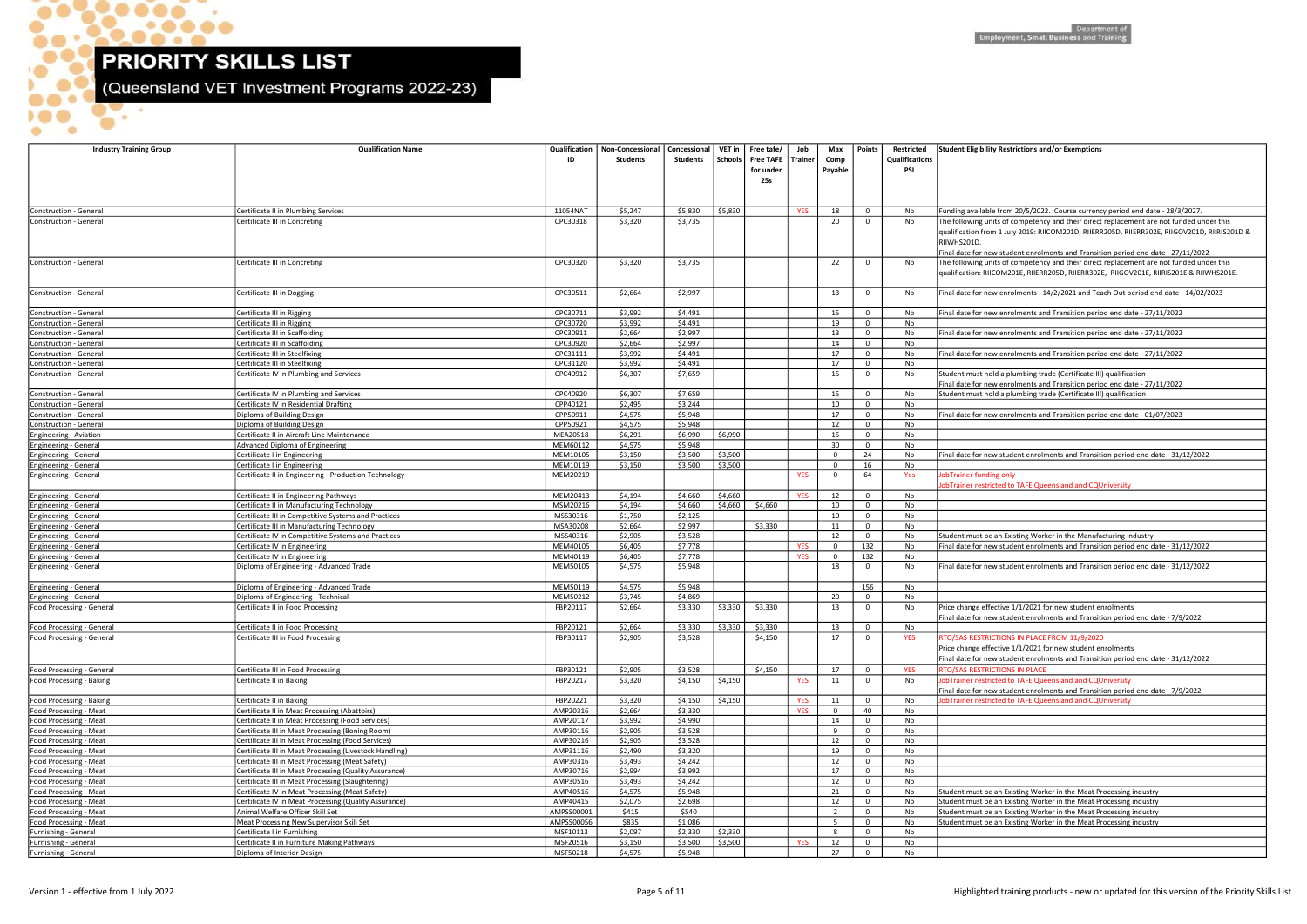$\bullet$ 

**DOO** 

 $\bullet$ 

G

**OP.** 

۰  $\bullet\bullet\bullet\bullet$ 

 $\bullet$ 

 $\bullet$ 

(Queensland VET Investment Programs 2022-23)

| Final date for new enrolments and Transition period end date - 27/11/2022         |
|-----------------------------------------------------------------------------------|
|                                                                                   |
| Final date for new enrolments and Transition period end date - 27/11/2022         |
|                                                                                   |
| Final date for new enrolments and Transition period end date - 27/11/2022         |
|                                                                                   |
| Student must hold a plumbing trade (Certificate III) qualification                |
| Final date for new enrolments and Transition period end date - 27/11/2022         |
| Student must hold a plumbing trade (Certificate III) qualification                |
| Final date for new enrolments and Transition period end date - 01/07/2023         |
|                                                                                   |
|                                                                                   |
|                                                                                   |
| Final date for new student enrolments and Transition period end date - 31/12/2022 |
|                                                                                   |
| JobTrainer funding only                                                           |
| JobTrainer restricted to TAFE Queensland and CQUniversity                         |
|                                                                                   |
|                                                                                   |
|                                                                                   |
|                                                                                   |
| Student must be an Existing Worker in the Manufacturing industry                  |
| Final date for new student enrolments and Transition period end date - 31/12/2022 |
|                                                                                   |
| Final date for new student enrolments and Transition period end date - 31/12/2022 |
|                                                                                   |
|                                                                                   |
| Price change effective 1/1/2021 for new student enrolments                        |
| Final date for new student enrolments and Transition period end date - 7/9/2022   |
|                                                                                   |
| RTO/SAS RESTRICTIONS IN PLACE FROM 11/9/2020                                      |
| Price change effective 1/1/2021 for new student enrolments                        |
| Final date for new student enrolments and Transition period end date - 31/12/2022 |
| RTO/SAS RESTRICTIONS IN PLACE                                                     |
| JobTrainer restricted to TAFE Queensland and CQUniversity                         |
| Final date for new student enrolments and Transition period end date - 7/9/2022   |
| JobTrainer restricted to TAFE Queensland and CQUniversity                         |
|                                                                                   |
|                                                                                   |
|                                                                                   |
|                                                                                   |
|                                                                                   |
|                                                                                   |
|                                                                                   |
|                                                                                   |
| Student must be an Existing Worker in the Meat Processing industry                |
| Student must be an Existing Worker in the Meat Processing industry                |
| Student must be an Existing Worker in the Meat Processing industry                |
| Student must be an Existing Worker in the Meat Processing industry                |
|                                                                                   |
|                                                                                   |
|                                                                                   |

| <b>Industry Training Group</b>                                | <b>Qualification Name</b>                                                                            | Qualification<br>ID  | Non-Concessional   Concessional   VET in   Free tafe/<br><b>Students</b> | Students           | Schools  | <b>Free TAFE</b><br>for under<br>25s | Job<br><b>Trainer</b> | Max<br>Comp<br>Payable      | Points                           | Restricted<br>Qualifications<br>PSL | <b>Student Eligibility Restrictions and/or Exemptions</b>                                                                                                                                                                                                                |
|---------------------------------------------------------------|------------------------------------------------------------------------------------------------------|----------------------|--------------------------------------------------------------------------|--------------------|----------|--------------------------------------|-----------------------|-----------------------------|----------------------------------|-------------------------------------|--------------------------------------------------------------------------------------------------------------------------------------------------------------------------------------------------------------------------------------------------------------------------|
| Construction - General                                        | Certificate II in Plumbing Services                                                                  | 11054NAT             | \$5,247                                                                  | \$5,830            | \$5,830  |                                      | <b>YES</b>            | 18                          | $\overline{0}$                   |                                     | Funding available from 20/5/2022. Course currency period end date - 28/3/2027.                                                                                                                                                                                           |
| Construction - General                                        | Certificate III in Concreting                                                                        | CPC30318             | \$3,320                                                                  | \$3,735            |          |                                      |                       | 20                          | $\overline{0}$                   | No<br>No                            | The following units of competency and their direct replacement are not funded under this<br>qualification from 1 July 2019: RIICOM201D, RIIERR205D, RIIERR302E, RIIGOV201D, RIIRIS201D &<br>RIIWHS201D                                                                   |
| Construction - General                                        | Certificate III in Concreting                                                                        | CPC30320             | \$3,320                                                                  | \$3,735            |          |                                      |                       | 22                          | $\overline{\mathbf{0}}$          | No                                  | Final date for new student enrolments and Transition period end date - 27/11/2022<br>The following units of competency and their direct replacement are not funded under this<br>qualification: RIICOM201E, RIIERR205D, RIIERR302E, RIIGOV201E, RIIRIS201E & RIIWHS201E. |
| Construction - General                                        | Certificate III in Dogging                                                                           | CPC30511             | \$2,664                                                                  | \$2,997            |          |                                      |                       | 13                          | $\overline{0}$                   | No                                  | Final date for new enrolments - 14/2/2021 and Teach Out period end date - 14/02/2023                                                                                                                                                                                     |
| Construction - General                                        | Certificate III in Rigging                                                                           | CPC30711             | \$3,992                                                                  | \$4,491            |          |                                      |                       | 15                          | $\mathbf 0$                      | No                                  | Final date for new enrolments and Transition period end date - 27/11/2022                                                                                                                                                                                                |
| Construction - General                                        | Certificate III in Rigging                                                                           | CPC30720             | \$3,992                                                                  | \$4,491            |          |                                      |                       | 19                          | $\overline{0}$                   | No                                  |                                                                                                                                                                                                                                                                          |
| Construction - General                                        | Certificate III in Scaffolding                                                                       | CPC30911             | \$2,664                                                                  | \$2,997            |          |                                      |                       | 13                          | $\overline{0}$                   | No                                  | Final date for new enrolments and Transition period end date - 27/11/2022                                                                                                                                                                                                |
| Construction - General                                        | Certificate III in Scaffolding                                                                       | CPC30920             | \$2,664                                                                  | \$2,997            |          |                                      |                       | 14                          | $\overline{0}$                   | No                                  |                                                                                                                                                                                                                                                                          |
| Construction - General                                        | Certificate III in Steelfixing<br>Certificate III in Steelfixing                                     | CPC31111<br>CPC31120 | \$3,992<br>\$3,992                                                       | \$4,491<br>\$4,491 |          |                                      |                       | 17<br>17                    | $\overline{0}$<br>$\overline{0}$ | No<br>No                            | Final date for new enrolments and Transition period end date - 27/11/2022                                                                                                                                                                                                |
| Construction - General<br>Construction - General              | Certificate IV in Plumbing and Services                                                              | CPC40912             | \$6,307                                                                  | \$7,659            |          |                                      |                       | 15                          | $\overline{0}$                   | No                                  | Student must hold a plumbing trade (Certificate III) qualification                                                                                                                                                                                                       |
|                                                               |                                                                                                      |                      |                                                                          |                    |          |                                      |                       |                             |                                  |                                     | Final date for new enrolments and Transition period end date - 27/11/2022                                                                                                                                                                                                |
| Construction - General                                        | Certificate IV in Plumbing and Services                                                              | CPC40920<br>CPP40121 | \$6,307<br>\$2,495                                                       | \$7,659            |          |                                      |                       | 15<br>10                    | $\mathbf 0$<br>$\overline{0}$    | No                                  | Student must hold a plumbing trade (Certificate III) qualification                                                                                                                                                                                                       |
| Construction - General<br>Construction - General              | Certificate IV in Residential Drafting<br>Diploma of Building Design                                 | CPP50911             | \$4,575                                                                  | \$3,244<br>\$5,948 |          |                                      |                       | 17                          | $\mathbf 0$                      | No<br>No                            | inal date for new enrolments and Transition period end date - 01/07/2023                                                                                                                                                                                                 |
| Construction - General                                        | Diploma of Building Design                                                                           | CPP50921             | \$4,575                                                                  | \$5,948            |          |                                      |                       | 12                          | $\overline{0}$                   | No                                  |                                                                                                                                                                                                                                                                          |
| Engineering - Aviation                                        | Certificate II in Aircraft Line Maintenance                                                          | MEA20518             | \$6,291                                                                  | \$6,990            | \$6,990  |                                      |                       | 15                          | $\mathbf 0$                      | No                                  |                                                                                                                                                                                                                                                                          |
| <b>Engineering - General</b>                                  | Advanced Diploma of Engineering                                                                      | MEM60112             | \$4,575                                                                  | \$5,948            |          |                                      |                       | 30                          | $\overline{0}$                   | No                                  |                                                                                                                                                                                                                                                                          |
| <b>Engineering - General</b>                                  | Certificate I in Engineering                                                                         | MEM10105             | \$3,150                                                                  | \$3,500            | \$3,500  |                                      |                       | $\Omega$                    | 24                               | No                                  | Final date for new student enrolments and Transition period end date - 31/12/2022                                                                                                                                                                                        |
| <b>Engineering - General</b><br>Engineering - General         | Certificate I in Engineering<br>Certificate II in Engineering - Production Technology                | MEM10119<br>MEM20219 | \$3,150                                                                  | \$3,500            | \$3,500  |                                      | <b>YES</b>            | $\mathbf{0}$<br>$\mathbf 0$ | 16<br>64                         | No<br>Yes                           | <b>JobTrainer funding only</b>                                                                                                                                                                                                                                           |
| <b>Engineering - General</b>                                  | Certificate II in Engineering Pathways                                                               | MEM20413             | \$4,194                                                                  | \$4,660            | \$4,660  |                                      | <b>YES</b>            | 12                          | $\overline{0}$                   | No                                  | obTrainer restricted to TAFE Queensland and CQUniversity                                                                                                                                                                                                                 |
| <b>Engineering - General</b>                                  | Certificate II in Manufacturing Technology                                                           | MSM20216             | \$4,194                                                                  | \$4,660            | \$4,660  | \$4,660                              |                       | 10                          | $\overline{0}$                   | No                                  |                                                                                                                                                                                                                                                                          |
| Engineering - General                                         | Certificate III in Competitive Systems and Practices                                                 | MSS30316             | \$1,750                                                                  | \$2,125            |          |                                      |                       | 10                          | $\overline{0}$                   | No                                  |                                                                                                                                                                                                                                                                          |
| <b>Engineering - General</b>                                  | Certificate III in Manufacturing Technology                                                          | MSA30208             | \$2,664                                                                  | \$2,997            |          | \$3,330                              |                       | 11                          | $\mathbf 0$                      | No                                  |                                                                                                                                                                                                                                                                          |
| Engineering - General                                         | Certificate IV in Competitive Systems and Practices                                                  | MSS40316             | \$2,905                                                                  | \$3,528            |          |                                      |                       | 12                          | $\overline{0}$                   | No                                  | Student must be an Existing Worker in the Manufacturing industry                                                                                                                                                                                                         |
| <b>Engineering - General</b>                                  | Certificate IV in Engineering                                                                        | MEM40105             | \$6,405                                                                  | \$7,778            |          |                                      | <b>YES</b>            | $\mathbf{0}$                | 132                              | No                                  | Final date for new student enrolments and Transition period end date - 31/12/2022                                                                                                                                                                                        |
| <b>Engineering - General</b><br>Engineering - General         | Certificate IV in Engineering<br>Diploma of Engineering - Advanced Trade                             | MEM40119<br>MEM50105 | \$6,405<br>\$4,575                                                       | \$7,778<br>\$5,948 |          |                                      | <b>YES</b>            | $\mathbf{0}$<br>18          | 132<br>$\overline{0}$            | No<br>No                            | Final date for new student enrolments and Transition period end date - 31/12/2022                                                                                                                                                                                        |
|                                                               | Diploma of Engineering - Advanced Trade                                                              | MEM50119             | \$4,575                                                                  | \$5,948            |          |                                      |                       |                             | 156                              |                                     |                                                                                                                                                                                                                                                                          |
| <b>Engineering - General</b><br><b>Engineering - General</b>  | Diploma of Engineering - Technical                                                                   | MEM50212             | \$3,745                                                                  | \$4,869            |          |                                      |                       | 20                          | $\overline{0}$                   | No<br>No                            |                                                                                                                                                                                                                                                                          |
| Food Processing - General                                     | Certificate II in Food Processing                                                                    | FBP20117             | \$2,664                                                                  | \$3,330            | \$3,330  | \$3,330                              |                       | 13                          | $\overline{0}$                   | No                                  | Price change effective 1/1/2021 for new student enrolments                                                                                                                                                                                                               |
|                                                               | Certificate II in Food Processing                                                                    | FBP20121             | \$2,664                                                                  | \$3,330            | $$3,330$ | \$3,330                              |                       | 13                          | $\overline{0}$                   | No                                  | Final date for new student enrolments and Transition period end date - 7/9/2022                                                                                                                                                                                          |
| Food Processing - General<br><b>Food Processing - General</b> | Certificate III in Food Processing                                                                   | FBP30117             | \$2,905                                                                  | \$3,528            |          | \$4,150                              |                       | 17                          | $\overline{\mathbf{0}}$          | <b>YES</b>                          | RTO/SAS RESTRICTIONS IN PLACE FROM 11/9/2020<br>Price change effective 1/1/2021 for new student enrolments<br>Final date for new student enrolments and Transition period end date - 31/12/2022                                                                          |
| Food Processing - General                                     | Certificate III in Food Processing                                                                   | FBP30121             | \$2,905                                                                  | \$3,528            |          | \$4,150                              |                       | 17                          | $\overline{0}$                   | <b>YES</b>                          | RTO/SAS RESTRICTIONS IN PLACE                                                                                                                                                                                                                                            |
| Food Processing - Baking                                      | Certificate II in Baking                                                                             | FBP20217             | \$3,320                                                                  | \$4,150            | \$4,150  |                                      | <b>YES</b>            | 11                          | $\overline{0}$                   | No                                  | JobTrainer restricted to TAFE Queensland and CQUniversity                                                                                                                                                                                                                |
| Food Processing - Baking                                      | Certificate II in Baking                                                                             | FBP20221             | \$3,320                                                                  | \$4,150            | \$4,150  |                                      | <b>YES</b>            | 11                          | $\mathbf 0$                      | No                                  | Final date for new student enrolments and Transition period end date - 7/9/2022<br>obTrainer restricted to TAFE Queensland and CQUniversity                                                                                                                              |
| Food Processing - Meat                                        | Certificate II in Meat Processing (Abattoirs)                                                        | AMP20316             | \$2,664                                                                  | \$3,330            |          |                                      | <b>YES</b>            | $\mathbf 0$                 | 40                               | No                                  |                                                                                                                                                                                                                                                                          |
| Food Processing - Meat                                        | Certificate II in Meat Processing (Food Services)                                                    | AMP20117             | \$3,992                                                                  | \$4,990            |          |                                      |                       | 14                          | $\overline{0}$                   | No                                  |                                                                                                                                                                                                                                                                          |
| Food Processing - Meat                                        | Certificate III in Meat Processing (Boning Room)                                                     | AMP30116             | \$2,905                                                                  | \$3,528            |          |                                      |                       | 9                           | $\overline{0}$                   | No                                  |                                                                                                                                                                                                                                                                          |
| Food Processing - Meat                                        | Certificate III in Meat Processing (Food Services)                                                   | AMP30216             | \$2,905                                                                  | \$3,528            |          |                                      |                       | 12                          | $\overline{0}$                   | No                                  |                                                                                                                                                                                                                                                                          |
| Food Processing - Meat                                        | Certificate III in Meat Processing (Livestock Handling)                                              | AMP31116             | \$2,490                                                                  | \$3,320            |          |                                      |                       | 19                          | $\overline{0}$                   | No                                  |                                                                                                                                                                                                                                                                          |
| Food Processing - Meat                                        | Certificate III in Meat Processing (Meat Safety)                                                     | AMP30316             | \$3,493                                                                  | \$4,242            |          |                                      |                       | 12                          | $\overline{0}$                   | No                                  |                                                                                                                                                                                                                                                                          |
| Food Processing - Meat                                        | Certificate III in Meat Processing (Quality Assurance)                                               | AMP30716<br>AMP30516 | \$2,994<br>\$3,493                                                       | \$3,992<br>\$4,242 |          |                                      |                       | 17<br>12                    | $\overline{0}$<br>$\overline{0}$ | No                                  |                                                                                                                                                                                                                                                                          |
| Food Processing - Meat<br>Food Processing - Meat              | Certificate III in Meat Processing (Slaughtering)<br>Certificate IV in Meat Processing (Meat Safety) | AMP40516             | \$4,575                                                                  | \$5,948            |          |                                      |                       | 21                          | $\overline{0}$                   | No<br>No                            | Student must be an Existing Worker in the Meat Processing industry                                                                                                                                                                                                       |
| Food Processing - Meat                                        | Certificate IV in Meat Processing (Quality Assurance)                                                | AMP40415             | \$2,075                                                                  | \$2,698            |          |                                      |                       | 12                          | $\overline{0}$                   | No                                  | Student must be an Existing Worker in the Meat Processing industry                                                                                                                                                                                                       |
| Food Processing - Meat                                        | Animal Welfare Officer Skill Set                                                                     | AMPSS00001           | \$415                                                                    | \$540              |          |                                      |                       | $\overline{2}$              | $\overline{0}$                   | No                                  | Student must be an Existing Worker in the Meat Processing industry                                                                                                                                                                                                       |
| Food Processing - Meat                                        | Meat Processing New Supervisor Skill Set                                                             | AMPSS00056           | \$835                                                                    | \$1,086            |          |                                      |                       | 5                           | $\mathbf 0$                      | No                                  | Student must be an Existing Worker in the Meat Processing industry                                                                                                                                                                                                       |
| Furnishing - General                                          | Certificate I in Furnishing                                                                          | MSF10113             | \$2,097                                                                  | \$2,330            | \$2,330  |                                      |                       | 8                           | $\mathbf{0}$                     | No                                  |                                                                                                                                                                                                                                                                          |
| Furnishing - General                                          | Certificate II in Furniture Making Pathways                                                          | MSF20516             | \$3,150                                                                  | \$3,500            | \$3,500  |                                      | <b>YES</b>            | 12                          | $\mathbf 0$                      | No                                  |                                                                                                                                                                                                                                                                          |
| Furnishing - General                                          | Diploma of Interior Design                                                                           | MSF50218             | \$4,575                                                                  | \$5,948            |          |                                      |                       | 27                          | $\overline{0}$                   | No                                  |                                                                                                                                                                                                                                                                          |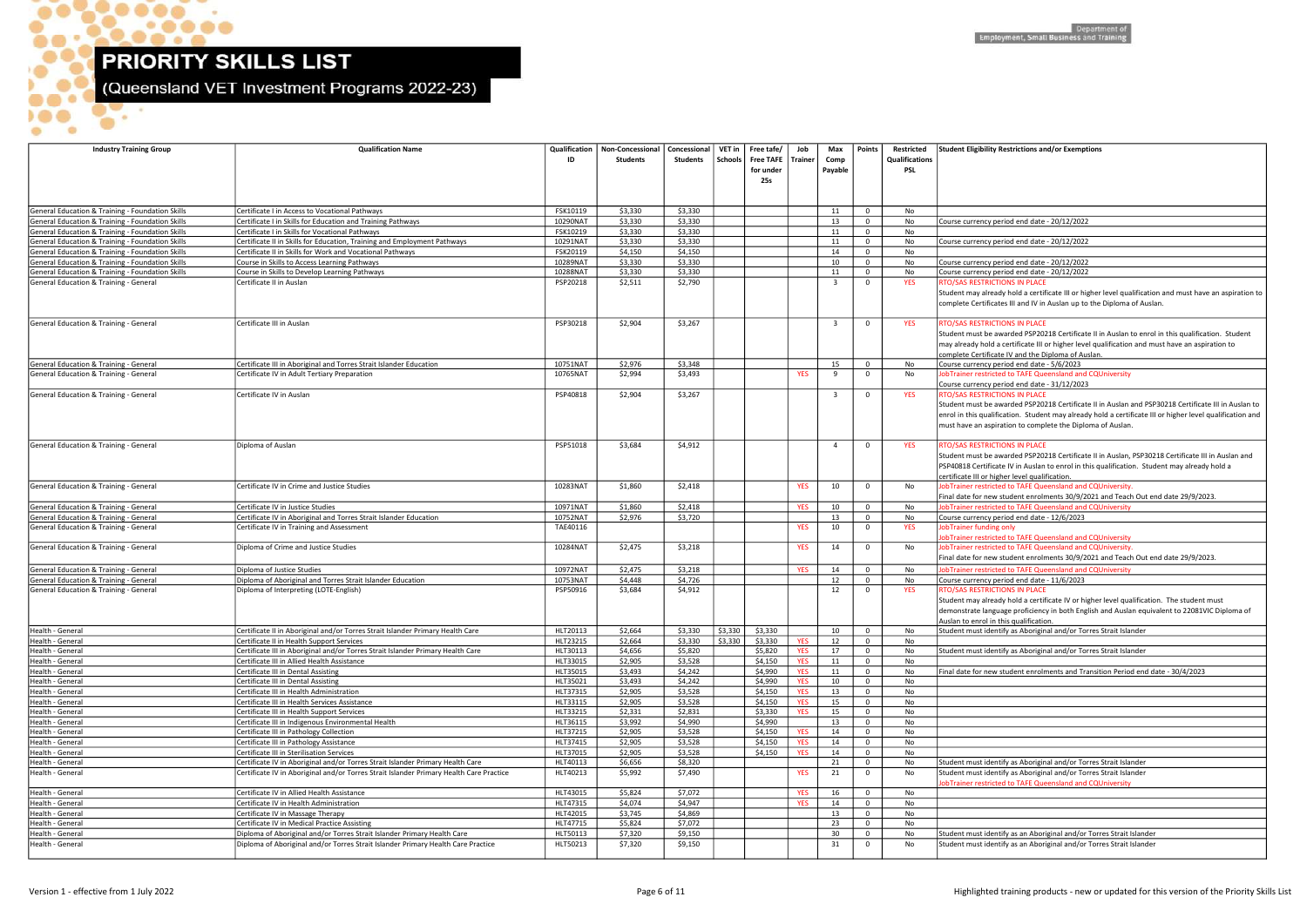$\bullet$ 

**OP** 

 $\bullet$ 

 $\bullet\bullet\bullet\bullet$ 

**DOO**  $\bullet$   $\bullet$  (Queensland VET Investment Programs 2022-23)

| <b>Industry Training Group</b>                                                             | <b>Qualification Name</b>                                                                                                    | Qualification<br>ID  | <b>Non-Concessional</b><br><b>Students</b> | Concessional<br>Students | Schools     | VET in Free tafe/<br><b>Free TAFE</b><br>for under<br><b>25s</b> | Job<br>Trainer           | Max<br>Comp<br>Payable | Points                        | Restricted<br><b>Qualifications</b><br><b>PSL</b> | Student Eligibility Restrictions and/or Exemptions                                                                                                                                                                                                                       |
|--------------------------------------------------------------------------------------------|------------------------------------------------------------------------------------------------------------------------------|----------------------|--------------------------------------------|--------------------------|-------------|------------------------------------------------------------------|--------------------------|------------------------|-------------------------------|---------------------------------------------------|--------------------------------------------------------------------------------------------------------------------------------------------------------------------------------------------------------------------------------------------------------------------------|
|                                                                                            |                                                                                                                              |                      |                                            |                          |             |                                                                  |                          |                        |                               |                                                   |                                                                                                                                                                                                                                                                          |
| General Education & Training - Foundation Skills                                           | Certificate I in Access to Vocational Pathways                                                                               | FSK10119             | \$3,330                                    | \$3,330                  |             |                                                                  |                          | 11                     | $\mathbf{0}$                  | No                                                |                                                                                                                                                                                                                                                                          |
| General Education & Training - Foundation Skills                                           | Certificate I in Skills for Education and Training Pathways                                                                  | 10290NAT             | \$3,330                                    | \$3,330                  |             |                                                                  |                          | 13                     | $\mathbf 0$                   | No                                                | Course currency period end date - 20/12/2022                                                                                                                                                                                                                             |
| General Education & Training - Foundation Skills                                           | Certificate I in Skills for Vocational Pathways                                                                              | FSK10219             | \$3,330                                    | \$3,330                  |             |                                                                  |                          | 11                     | $\mathbf{0}$                  | No                                                |                                                                                                                                                                                                                                                                          |
| General Education & Training - Foundation Skills                                           | Certificate II in Skills for Education, Training and Employment Pathways                                                     | 10291NAT             | \$3,330                                    | \$3,330                  |             |                                                                  |                          | 11                     | $\mathbf 0$                   | No                                                | Course currency period end date - 20/12/2022                                                                                                                                                                                                                             |
| General Education & Training - Foundation Skills                                           | Certificate II in Skills for Work and Vocational Pathways                                                                    | FSK20119             | \$4,150                                    | \$4,150                  |             |                                                                  |                          | 14                     | $\mathbf 0$                   | No                                                |                                                                                                                                                                                                                                                                          |
| General Education & Training - Foundation Skills                                           | Course in Skills to Access Learning Pathways                                                                                 | 10289NAT             | \$3,330                                    | \$3,330                  |             |                                                                  |                          | 10                     | $\mathbf 0$                   | No                                                | Course currency period end date - 20/12/2022                                                                                                                                                                                                                             |
| General Education & Training - Foundation Skills<br>General Education & Training - General | Course in Skills to Develop Learning Pathways<br>Certificate II in Auslan                                                    | 10288NAT<br>PSP20218 | \$3,330<br>\$2,511                         | \$3,330<br>\$2,790       |             |                                                                  |                          | 11<br>$\overline{3}$   | $\mathbf{0}$<br>$\mathbf 0$   | No<br><b>YES</b>                                  | Course currency period end date - 20/12/2022<br>RTO/SAS RESTRICTIONS IN PLACE                                                                                                                                                                                            |
|                                                                                            |                                                                                                                              |                      |                                            |                          |             |                                                                  |                          |                        |                               |                                                   | Student may already hold a certificate III or higher level qua<br>complete Certificates III and IV in Auslan up to the Diploma                                                                                                                                           |
| General Education & Training - General                                                     | Certificate III in Auslan                                                                                                    | PSP30218             | \$2,904                                    | \$3,267                  |             |                                                                  |                          | $\overline{3}$         | $\mathbf 0$                   | <b>YES</b>                                        | RTO/SAS RESTRICTIONS IN PLACE<br>Student must be awarded PSP20218 Certificate II in Auslan<br>may already hold a certificate III or higher level qualificatior<br>complete Certificate IV and the Diploma of Auslan.                                                     |
| General Education & Training - General                                                     | Certificate III in Aboriginal and Torres Strait Islander Education                                                           | 10751NAT             | \$2,976                                    | \$3,348                  |             |                                                                  |                          | 15                     | $\mathbf 0$                   | No                                                | Course currency period end date - 5/6/2023                                                                                                                                                                                                                               |
| General Education & Training - General                                                     | Certificate IV in Adult Tertiary Preparation                                                                                 | 10765NAT             | \$2,994                                    | \$3,493                  |             |                                                                  | <b>YES</b>               | -9                     | $\mathbf 0$                   | No                                                | JobTrainer restricted to TAFE Queensland and CQUniversity                                                                                                                                                                                                                |
| General Education & Training - General                                                     | Certificate IV in Auslan                                                                                                     | PSP40818             | \$2,904                                    | \$3,267                  |             |                                                                  |                          | $\overline{3}$         | $\mathbf 0$                   | <b>YES</b>                                        | Course currency period end date - 31/12/2023<br>RTO/SAS RESTRICTIONS IN PLACE<br>Student must be awarded PSP20218 Certificate II in Auslan<br>enrol in this qualification. Student may already hold a certi<br>must have an aspiration to complete the Diploma of Auslan |
| General Education & Training - General                                                     | Diploma of Auslan                                                                                                            | PSP51018             | \$3,684                                    | \$4,912                  |             |                                                                  |                          | $\overline{a}$         | $\mathbf 0$                   | <b>YES</b>                                        | RTO/SAS RESTRICTIONS IN PLACE<br>Student must be awarded PSP20218 Certificate II in Auslan,<br>PSP40818 Certificate IV in Auslan to enrol in this qualificatio<br>certificate III or higher level qualification.                                                         |
| General Education & Training - General                                                     | Certificate IV in Crime and Justice Studies                                                                                  | 10283NAT             | \$1,860                                    | \$2,418                  |             |                                                                  | <b>YES</b>               | 10                     | $\mathbf 0$                   | No                                                | JobTrainer restricted to TAFE Queensland and CQUniversity<br>Final date for new student enrolments 30/9/2021 and Teac                                                                                                                                                    |
| General Education & Training - General                                                     | Certificate IV in Justice Studies                                                                                            | 10971NAT             | \$1,860                                    | \$2,418                  |             |                                                                  | <b>YES</b>               | 10                     | $\mathbf{0}$                  | No                                                | JobTrainer restricted to TAFE Queensland and CQUniversity                                                                                                                                                                                                                |
| General Education & Training - General                                                     | Certificate IV in Aboriginal and Torres Strait Islander Education                                                            | 10752NAT             | \$2,976                                    | \$3,720                  |             |                                                                  |                          | 13                     | $\mathbf 0$                   | No                                                | Course currency period end date - 12/6/2023                                                                                                                                                                                                                              |
| General Education & Training - General                                                     | Certificate IV in Training and Assessment                                                                                    | TAE40116             |                                            |                          |             |                                                                  | YES                      | 10                     | $\mathbf 0$                   | <b>YES</b>                                        | JobTrainer funding only<br>JobTrainer restricted to TAFE Queensland and CQUniversity                                                                                                                                                                                     |
| General Education & Training - General                                                     | Diploma of Crime and Justice Studies                                                                                         | 10284NAT             | \$2,475                                    | \$3,218                  |             |                                                                  | <b>YES</b>               | 14                     | $\mathbf 0$                   | No                                                | JobTrainer restricted to TAFE Queensland and CQUniversity<br>Final date for new student enrolments 30/9/2021 and Teac                                                                                                                                                    |
| General Education & Training - General                                                     | Diploma of Justice Studies                                                                                                   | 10972NAT             | \$2,475                                    | \$3,218                  |             |                                                                  | <b>YES</b>               | 14                     | $\mathbf 0$                   | No                                                | JobTrainer restricted to TAFE Queensland and CQUniversity                                                                                                                                                                                                                |
| General Education & Training - General                                                     | Diploma of Aboriginal and Torres Strait Islander Education                                                                   | 10753NAT             | \$4,448                                    | \$4,726                  |             |                                                                  |                          | 12                     | $\mathbf{0}$                  | No                                                | Course currency period end date - 11/6/2023                                                                                                                                                                                                                              |
| General Education & Training - General                                                     | Diploma of Interpreting (LOTE-English)                                                                                       | PSP50916             | \$3,684                                    | \$4,912                  |             |                                                                  |                          | 12                     | $\mathbf{0}$                  | <b>YES</b>                                        | RTO/SAS RESTRICTIONS IN PLACE<br>Student may already hold a certificate IV or higher level qua<br>demonstrate language proficiency in both English and Ausla<br>Auslan to enrol in this qualification.                                                                   |
| Health - General                                                                           | Certificate II in Aboriginal and/or Torres Strait Islander Primary Health Care                                               | HLT20113             | \$2,664                                    | \$3,330                  | $ $ \$3,330 | \$3,330                                                          |                          | 10                     | $\overline{0}$                | No                                                | Student must identify as Aboriginal and/or Torres Strait Isla                                                                                                                                                                                                            |
| Health - General<br>Health - General                                                       | Certificate II in Health Support Services<br>Certificate III in Aboriginal and/or Torres Strait Islander Primary Health Care | HLT23215<br>HLT30113 | \$2,664<br>\$4,656                         | \$3,330<br>\$5,820       | \$3,330     | \$3,330<br>\$5,820                                               | <b>YES</b><br><b>YES</b> | 12<br>17               | $\mathbf 0$<br>$\overline{0}$ | No                                                | Student must identify as Aboriginal and/or Torres Strait Isla                                                                                                                                                                                                            |
| Health - General                                                                           | Certificate III in Allied Health Assistance                                                                                  | HLT33015             | \$2,905                                    | \$3,528                  |             | \$4,150                                                          | <b>YES</b>               | 11                     | $\mathbf{0}$                  | No<br>No                                          |                                                                                                                                                                                                                                                                          |
| Health - General                                                                           | Certificate III in Dental Assisting                                                                                          | HLT35015             | \$3,493                                    | \$4,242                  |             | \$4,990                                                          | <b>YES</b>               | 11                     | $\mathbf 0$                   | No                                                | Final date for new student enrolments and Transition Perio                                                                                                                                                                                                               |
| Health - General                                                                           | Certificate III in Dental Assisting                                                                                          | HLT35021             | \$3,493                                    | \$4,242                  |             | \$4,990                                                          | <b>YES</b>               | 10                     | $\mathbf 0$                   | No                                                |                                                                                                                                                                                                                                                                          |
| Health - General                                                                           | Certificate III in Health Administration                                                                                     | HLT37315             | \$2,905                                    | \$3,528                  |             | \$4,150                                                          | <b>YES</b>               | 13                     | $\mathbf 0$                   | No                                                |                                                                                                                                                                                                                                                                          |
| Health - General                                                                           | Certificate III in Health Services Assistance                                                                                | HLT33115             | \$2,905                                    | \$3,528                  |             | \$4,150                                                          | <b>YES</b>               | 15                     | $\mathbf 0$                   | No                                                |                                                                                                                                                                                                                                                                          |
| Health - General                                                                           | Certificate III in Health Support Services                                                                                   | HLT33215             | \$2,331                                    | \$2,831                  |             | \$3,330                                                          | <b>YES</b>               | 15                     | $\mathbf 0$                   | No                                                |                                                                                                                                                                                                                                                                          |
| Health - General                                                                           | Certificate III in Indigenous Environmental Health                                                                           | HLT36115             | \$3,992                                    | \$4,990                  |             | \$4,990                                                          |                          | 13                     | $\mathbf 0$                   | No                                                |                                                                                                                                                                                                                                                                          |
| Health - General                                                                           | Certificate III in Pathology Collection                                                                                      | HLT37215             | \$2,905                                    | \$3,528                  |             | \$4,150                                                          | <b>YES</b>               | 14                     | $\mathbf 0$                   | No                                                |                                                                                                                                                                                                                                                                          |
| Health - General                                                                           | Certificate III in Pathology Assistance                                                                                      | HLT37415             | \$2,905                                    | \$3,528                  |             | \$4,150                                                          | <b>YES</b>               | 14                     | $\Omega$                      | No                                                |                                                                                                                                                                                                                                                                          |
| Health - General                                                                           | Certificate III in Sterilisation Services                                                                                    | HLT37015             | \$2,905                                    | \$3,528                  |             | \$4,150                                                          | <b>YES</b>               | 14                     | $\mathbf 0$                   | No                                                |                                                                                                                                                                                                                                                                          |
| Health - General                                                                           | Certificate IV in Aboriginal and/or Torres Strait Islander Primary Health Care                                               | HLT40113             | \$6,656                                    | \$8,320                  |             |                                                                  |                          | 21                     | $\mathbf 0$                   | No                                                | Student must identify as Aboriginal and/or Torres Strait Isla                                                                                                                                                                                                            |
| Health - General                                                                           | Certificate IV in Aboriginal and/or Torres Strait Islander Primary Health Care Practice                                      | HLT40213             | \$5,992                                    | \$7,490                  |             |                                                                  | <b>YES</b>               | 21                     | $\mathbf 0$                   | No                                                | Student must identify as Aboriginal and/or Torres Strait Isla<br>obTrainer restricted to TAFE Queensland and CQUniversity                                                                                                                                                |
| Health - General                                                                           | Certificate IV in Allied Health Assistance                                                                                   | HLT43015             | \$5,824                                    | \$7,072                  |             |                                                                  | <b>YES</b>               | 16                     | $\mathbf 0$                   | No                                                |                                                                                                                                                                                                                                                                          |
| Health - General                                                                           | Certificate IV in Health Administration                                                                                      | HLT47315             | \$4,074                                    | \$4,947                  |             |                                                                  | <b>YES</b>               | 14                     | $\mathbf 0$                   | No                                                |                                                                                                                                                                                                                                                                          |
| Health - General                                                                           | Certificate IV in Massage Therapy                                                                                            | HLT42015             | \$3,745                                    | \$4,869                  |             |                                                                  |                          | 13                     | $\mathbf 0$                   | No                                                |                                                                                                                                                                                                                                                                          |
| Health - General<br>Health - General                                                       | Certificate IV in Medical Practice Assisting<br>Diploma of Aboriginal and/or Torres Strait Islander Primary Health Care      | HLT47715<br>HLT50113 | \$5,824<br>\$7,320                         | \$7,072<br>\$9,150       |             |                                                                  |                          | 23<br>30               | $\mathbf 0$<br>$\mathbf 0$    | No<br>No                                          | Student must identify as an Aboriginal and/or Torres Strait                                                                                                                                                                                                              |
| Health - General                                                                           | Diploma of Aboriginal and/or Torres Strait Islander Primary Health Care Practice                                             | HLT50213             | \$7,320                                    | \$9,150                  |             |                                                                  |                          | 31                     | $\mathbf{0}$                  | No                                                | Student must identify as an Aboriginal and/or Torres Strait                                                                                                                                                                                                              |

### ibility Restrictions and/or Exemptions

already hold a certificate III or higher level qualification and must have an aspiration to ertificates III and IV in Auslan up to the Diploma of Auslan.

t be awarded PSP20218 Certificate II in Auslan to enrol in this qualification. Student hold a certificate III or higher level qualification and must have an aspiration to

t be awarded PSP20218 Certificate II in Auslan and PSP30218 Certificate III in Auslan to qualification. Student may already hold a certificate III or higher level qualification and n aspiration to complete the Diploma of Auslan.

t be awarded PSP20218 Certificate II in Auslan, PSP30218 Certificate III in Auslan and ertificate IV in Auslan to enrol in this qualification. Student may already hold a I or higher level qualification.

 $r$  new student enrolments 30/9/2021 and Teach Out end date 29/9/2023.

estricted to TAFE Queensland and CQUniversity.

r new student enrolments 30/9/2021 and Teach Out end date 29/9/2023.

 $\alpha$  already hold a certificate IV or higher level qualification. The student must

e language proficiency in both English and Auslan equivalent to 22081VIC Diploma of In this qualification.

t identify as Aboriginal and/or Torres Strait Islander

t identify as Aboriginal and/or Torres Strait Islander

r new student enrolments and Transition Period end date - 30/4/2023

t identify as Aboriginal and/or Torres Strait Islander identify as Aboriginal and/or Torres Strait Islander estricted to TAFE Queensland and CQUniversity

t identify as an Aboriginal and/or Torres Strait Islander identify as an Aboriginal and/or Torres Strait Islander Britan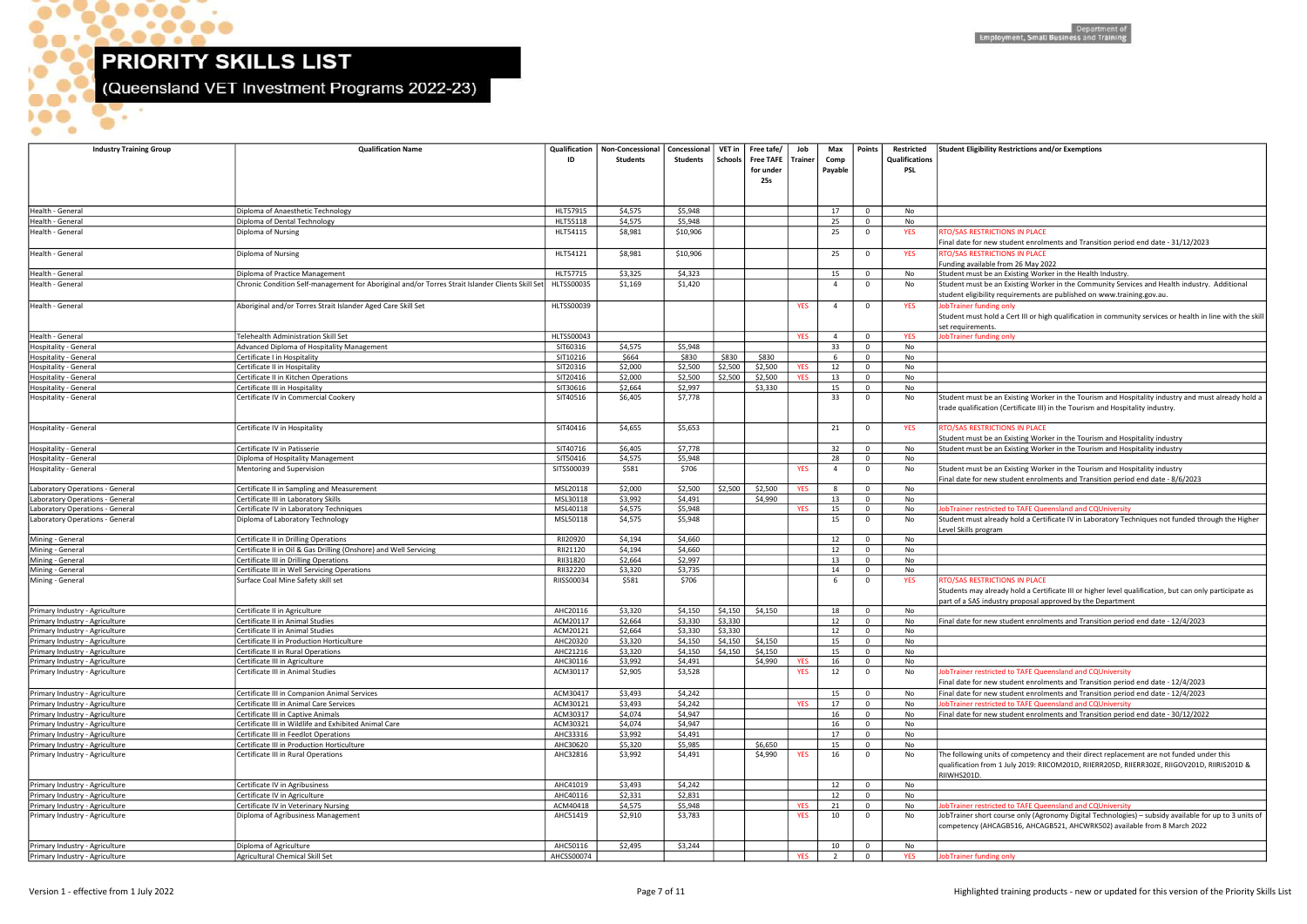$\bullet$ .

 $\bullet$ .

 $\bullet$ 

 $\bullet$ 

 $\bullet\bullet\bullet\bullet$ 

Σ

 $\bullet$ 

(Queensland VET Investment Programs 2022-23)

hort course only (Agronomy Digital Technologies) – subsidy available for up to 3 units of competency (AHCAGB516, AHCAGB521, AHCWRK502) available from 8 March 2022

| <b>Industry Training Group</b>                                   | <b>Qualification Name</b>                                                                        | Qualification<br>ID    | Non-Concessional<br><b>Students</b> | Concessional<br>Students | VET in<br>Schools | Free tafe/<br>Free TAFE   Trainer<br>for under<br>25s | Job        | Max<br>Comp<br>Payable | Points                      | Restricted<br>Qualifications<br>PSL | <b>Student Eligibility Restrictions an</b>                                                              |
|------------------------------------------------------------------|--------------------------------------------------------------------------------------------------|------------------------|-------------------------------------|--------------------------|-------------------|-------------------------------------------------------|------------|------------------------|-----------------------------|-------------------------------------|---------------------------------------------------------------------------------------------------------|
| Health - General                                                 | Diploma of Anaesthetic Technology                                                                | HLT57915               | \$4,575                             | \$5,948                  |                   |                                                       |            | 17                     | $\mathbf 0$                 | No                                  |                                                                                                         |
| Health - General                                                 | Diploma of Dental Technology                                                                     | HLT55118               | \$4,575                             | \$5,948                  |                   |                                                       |            | 25                     | $\mathbf 0$                 | No                                  |                                                                                                         |
| Health - General                                                 | Diploma of Nursing                                                                               | HLT54115               | \$8,981                             | \$10,906                 |                   |                                                       |            | 25                     | $\mathbf 0$                 | <b>YES</b>                          | RTO/SAS RESTRICTIONS IN PLACE<br>Final date for new student enroln                                      |
| Health - General                                                 | Diploma of Nursing                                                                               | HLT54121               | \$8,981                             | \$10,906                 |                   |                                                       |            | 25                     | $\mathbf{0}$                | <b>YES</b>                          | <b>RTO/SAS RESTRICTIONS IN PLACE</b>                                                                    |
| Health - General                                                 | Diploma of Practice Management                                                                   | HLT57715               | \$3,325                             | \$4,323                  |                   |                                                       |            | 15                     | $\mathbf 0$                 | No                                  | Funding available from 26 May 20<br>Student must be an Existing Work                                    |
| Health - General                                                 | Chronic Condition Self-management for Aboriginal and/or Torres Strait Islander Clients Skill Set | <b>HLTSS00035</b>      | \$1,169                             | \$1,420                  |                   |                                                       |            | $\overline{4}$         | $\mathbf 0$                 | No                                  | Student must be an Existing Worl<br>student eligibility requirements a                                  |
| Health - General                                                 | Aboriginal and/or Torres Strait Islander Aged Care Skill Set                                     | <b>HLTSS00039</b>      |                                     |                          |                   |                                                       | <b>YES</b> | $\overline{4}$         | $\mathbf{0}$                | <b>YES</b>                          | JobTrainer funding only<br>Student must hold a Cert III or hig<br>set requirements.                     |
| Health - General                                                 | Telehealth Administration Skill Set                                                              | HLTSS00043             |                                     |                          |                   |                                                       | <b>YES</b> | $\overline{4}$         | $\mathbf 0$                 | <b>YES</b>                          | JobTrainer funding only                                                                                 |
| Hospitality - General                                            | Advanced Diploma of Hospitality Management                                                       | SIT60316               | \$4,575                             | \$5,948                  |                   |                                                       |            | 33                     | $\mathbf 0$                 | No                                  |                                                                                                         |
| Hospitality - General                                            | Certificate I in Hospitality                                                                     | SIT10216               | \$664                               | \$830                    | \$830             | \$830                                                 |            | 6                      | $\mathbf 0$                 | No                                  |                                                                                                         |
| Hospitality - General                                            | Certificate II in Hospitality                                                                    | SIT20316               | \$2,000                             | \$2,500                  | \$2,500           | \$2,500                                               | <b>YES</b> | 12                     | $\mathbf 0$                 | No                                  |                                                                                                         |
| Hospitality - General                                            | Certificate II in Kitchen Operations                                                             | SIT20416               | \$2,000                             | \$2,500                  | \$2,500           | \$2,500                                               | <b>YES</b> | 13                     | $\mathbf 0$                 | No                                  |                                                                                                         |
| Hospitality - General<br>Hospitality - General                   | Certificate III in Hospitality<br>Certificate IV in Commercial Cookery                           | SIT30616<br>SIT40516   | \$2,664<br>\$6,405                  | \$2,997<br>\$7,778       |                   | \$3,330                                               |            | 15<br>33               | $\mathbf 0$<br>$\mathbf{0}$ | No<br>No                            | Student must be an Existing Worl<br>trade qualification (Certificate III)                               |
| Hospitality - General                                            | Certificate IV in Hospitality                                                                    | SIT40416               | \$4,655                             | \$5,653                  |                   |                                                       |            | 21                     | $\mathbf{0}$                | <b>YES</b>                          | <b>RTO/SAS RESTRICTIONS IN PLACE</b>                                                                    |
|                                                                  |                                                                                                  |                        |                                     |                          |                   |                                                       |            |                        |                             |                                     | Student must be an Existing Work                                                                        |
| Hospitality - General                                            | Certificate IV in Patisserie                                                                     | SIT40716               | \$6,405                             | \$7,778                  |                   |                                                       |            | 32                     | $\mathbf 0$                 | No                                  | Student must be an Existing Worl                                                                        |
| Hospitality - General<br>Hospitality - General                   | Diploma of Hospitality Management<br>Mentoring and Supervision                                   | SIT50416<br>SITSS00039 | \$4,575<br>\$581                    | \$5,948<br>\$706         |                   |                                                       | <b>YES</b> | 28<br>$\overline{4}$   | $\mathbf 0$<br>$\mathbf 0$  | No<br>No                            | Student must be an Existing Worl<br>Final date for new student enroln                                   |
| Laboratory Operations - General                                  | Certificate II in Sampling and Measurement                                                       | MSL20118               | \$2,000                             | \$2,500                  | \$2,500           | \$2,500                                               | <b>YES</b> | 8                      | $\mathbf 0$                 | No                                  |                                                                                                         |
| Laboratory Operations - General                                  | Certificate III in Laboratory Skills                                                             | MSL30118               | \$3,992                             | \$4,491                  |                   | \$4,990                                               |            | 13                     | $\mathbf 0$                 | No                                  |                                                                                                         |
| Laboratory Operations - General                                  | Certificate IV in Laboratory Techniques                                                          | MSL40118               | \$4,575                             | \$5,948                  |                   |                                                       | <b>YES</b> | 15                     | $\mathbf 0$                 | No                                  | JobTrainer restricted to TAFE Que                                                                       |
| Laboratory Operations - General                                  | Diploma of Laboratory Technology                                                                 | MSL50118               | \$4,575                             | \$5,948                  |                   |                                                       |            | 15                     | $\mathbf{0}$                | No                                  | Student must already hold a Cert<br>Level Skills program                                                |
| Mining - General                                                 | Certificate II in Drilling Operations                                                            | RII20920               | \$4,194                             | \$4,660                  |                   |                                                       |            | 12                     | $\mathbf 0$                 | No                                  |                                                                                                         |
| Mining - General                                                 | Certificate II in Oil & Gas Drilling (Onshore) and Well Servicing                                | RII21120               | \$4,194                             | \$4,660                  |                   |                                                       |            | 12                     | $\mathbf 0$                 | No                                  |                                                                                                         |
| Mining - General                                                 | Certificate III in Drilling Operations                                                           | RII31820               | \$2,664                             | \$2,997                  |                   |                                                       |            | 13                     | $\mathbf 0$                 | No                                  |                                                                                                         |
| Mining - General<br>Mining - General                             | Certificate III in Well Servicing Operations<br>Surface Coal Mine Safety skill set               | RII32220<br>RIISS00034 | \$3,320<br>\$581                    | \$3,735<br>\$706         |                   |                                                       |            | 14<br>6                | $\mathbf 0$<br>$\mathbf 0$  | No<br><b>YES</b>                    | RTO/SAS RESTRICTIONS IN PLACE<br>Students may already hold a Cert<br>part of a SAS industry proposal ap |
| Primary Industry - Agriculture                                   | Certificate II in Agriculture                                                                    | AHC20116               | \$3,320                             | \$4,150                  | \$4,150           | \$4,150                                               |            | 18                     | $\mathbf 0$                 | No                                  |                                                                                                         |
| Primary Industry - Agriculture                                   | Certificate II in Animal Studies                                                                 | ACM20117               | \$2,664                             | \$3,330                  | \$3,330           |                                                       |            | 12                     | $\mathbf 0$                 | No                                  | Final date for new student enrolr                                                                       |
| Primary Industry - Agriculture                                   | Certificate II in Animal Studies                                                                 | ACM20121               | \$2.664                             | \$3.330                  | \$3.330           |                                                       |            | 12                     | $\mathbf 0$                 | No                                  |                                                                                                         |
| Primary Industry - Agriculture                                   | Certificate II in Production Horticulture                                                        | AHC20320               | \$3,320                             | \$4,150                  | \$4,150           | \$4,150                                               |            | 15                     | $\mathbf 0$                 | No                                  |                                                                                                         |
| Primary Industry - Agriculture<br>Primary Industry - Agriculture | Certificate II in Rural Operations<br>Certificate III in Agriculture                             | AHC21216<br>AHC30116   | \$3,320<br>\$3,992                  | \$4,150<br>\$4,491       | \$4,150           | \$4,150<br>\$4,990                                    | YES        | 15<br>16               | $\mathbf{0}$<br>$\mathbf 0$ | No<br>No                            |                                                                                                         |
| Primary Industry - Agriculture                                   | Certificate III in Animal Studies                                                                | ACM30117               | \$2,905                             | \$3,528                  |                   |                                                       | <b>YES</b> | 12                     | $\mathbf 0$                 | No                                  | JobTrainer restricted to TAFE Que<br>Final date for new student enrolr                                  |
| Primary Industry - Agriculture                                   | Certificate III in Companion Animal Services                                                     | ACM30417               | \$3,493                             | \$4,242                  |                   |                                                       |            | 15                     | $\mathbf 0$                 | No                                  | Final date for new student enrolr                                                                       |
| Primary Industry - Agriculture                                   | Certificate III in Animal Care Services                                                          | ACM30121               | \$3,493                             | \$4,242                  |                   |                                                       | <b>YES</b> | 17                     | $\mathbf 0$                 | No                                  | JobTrainer restricted to TAFE Que                                                                       |
| Primary Industry - Agriculture                                   | Certificate III in Captive Animals                                                               | ACM30317               | \$4,074                             | \$4,947                  |                   |                                                       |            | 16                     | $\mathbf 0$                 | No                                  | Final date for new student enroln                                                                       |
| Primary Industry - Agriculture                                   | Certificate III in Wildlife and Exhibited Animal Care                                            | ACM30321               | \$4,074                             | \$4,947                  |                   |                                                       |            | 16                     | $\mathbf 0$                 | No                                  |                                                                                                         |
| Primary Industry - Agriculture                                   | Certificate III in Feedlot Operations                                                            | AHC33316               | \$3,992                             | \$4,491                  |                   |                                                       |            | 17                     | $\mathbf 0$                 | No                                  |                                                                                                         |
| Primary Industry - Agriculture                                   | Certificate III in Production Horticulture                                                       | AHC30620               | \$5,320                             | \$5,985                  |                   | \$6,650                                               |            | 15                     | $\mathbf 0$                 | No                                  |                                                                                                         |
| Primary Industry - Agriculture                                   | Certificate III in Rural Operations                                                              | AHC32816               | \$3,992                             | \$4,491                  |                   | \$4,990                                               | <b>YES</b> | 16                     | $\mathbf 0$                 | No                                  | The following units of competend<br>qualification from 1 July 2019: RII<br>RIIWHS201D.                  |
| Primary Industry - Agriculture                                   | Certificate IV in Agribusiness                                                                   | AHC41019               | \$3,493                             | \$4,242                  |                   |                                                       |            | 12                     | $\mathbf 0$                 | No                                  |                                                                                                         |
| Primary Industry - Agriculture                                   | Certificate IV in Agriculture                                                                    | AHC40116               | \$2,331                             | \$2,831                  |                   |                                                       |            | 12                     | $\mathbf 0$                 | No                                  |                                                                                                         |
| Primary Industry - Agriculture                                   | Certificate IV in Veterinary Nursing                                                             | ACM40418               | \$4,575                             | \$5,948                  |                   |                                                       | <b>YES</b> | 21                     | $\mathbf 0$                 | No                                  | JobTrainer restricted to TAFE Que                                                                       |
| Primary Industry - Agriculture                                   | Diploma of Agribusiness Management                                                               | AHC51419               | \$2,910                             | \$3,783                  |                   |                                                       | <b>YES</b> | 10                     | $\mathbf 0$                 | No                                  | JobTrainer short course only (Agr<br>competency (AHCAGB516, AHCA                                        |
| Primary Industry - Agriculture                                   | Diploma of Agriculture                                                                           | AHC50116               | \$2,495                             | \$3,244                  |                   |                                                       |            | 10                     | $\mathbf 0$                 | No                                  |                                                                                                         |
| Primary Industry - Agriculture                                   | Agricultural Chemical Skill Set                                                                  | AHCSS00074             |                                     |                          |                   |                                                       | <b>YES</b> | $\overline{2}$         | $\mathbf 0$                 | <b>YES</b>                          | JobTrainer funding only                                                                                 |

### ibility Restrictions and/or Exemptions

r new student enrolments and Transition period end date - 31/12/2023

ilable from 26 May 2022

It be an Existing Worker in the Health Industry.

t be an Existing Worker in the Community Services and Health industry. Additional bility requirements are published on www.training.gov.au.

It hold a Cert III or high qualification in community services or health in line with the skill ents.

t be an Existing Worker in the Tourism and Hospitality industry and must already hold a cation (Certificate III) in the Tourism and Hospitality industry.

It be an Existing Worker in the Tourism and Hospitality industry It be an Existing Worker in the Tourism and Hospitality industry

It be an Existing Worker in the Tourism and Hospitality industry r new student enrolments and Transition period end date - 8/6/2023

estricted to TAFE Queensland and CQUniversity

t already hold a Certificate IV in Laboratory Techniques not funded through the Higher rogram

y already hold a Certificate III or higher level qualification, but can only participate as S industry proposal approved by the Department

r new student enrolments and Transition period end date - 12/4/2023

estricted to TAFE Queensland and CQUniversity r new student enrolments and Transition period end date - 12/4/2023 r new student enrolments and Transition period end date - 12/4/2023 estricted to TAFE Queensland and CQUniversity new student enrolments and Transition period end date - 30/12/2022

g units of competency and their direct replacement are not funded under this from 1 July 2019: RIICOM201D, RIIERR205D, RIIERR302E, RIIGOV201D, RIIRIS201D &

### estricted to TAFE Queensland and CQUniversity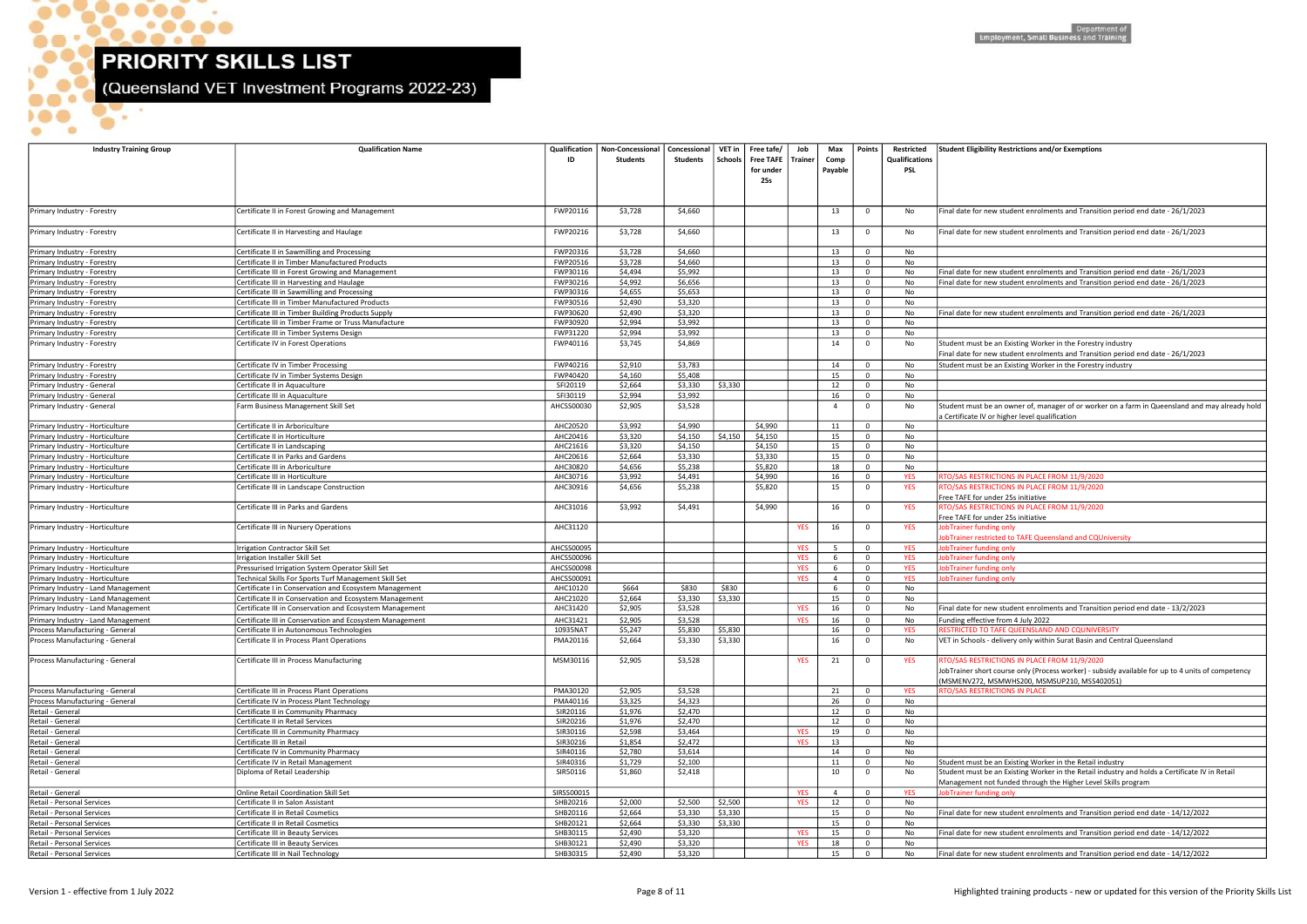$\bullet$ 

 $\bullet$ 

D

**OP.** 

 $\bullet$ 

 $\bullet$ 

 $\bullet$ 

 $\bullet\bullet\bullet\bullet$ 

 $\bullet$ 

 $\bullet$ 

(Queensland VET Investment Programs 2022-23)

| <b>Industry Training Group</b>                                           | <b>Qualification Name</b>                                                                                         | Qualification<br>ID  | Non-Concessional<br><b>Students</b> | Concessional<br>Students | VET in<br>  Schools | Free tafe/<br>Free TAFE   Trainer<br>for under<br>25s | Job        | Max<br>Comp<br>Payable | <b>Points</b>                    | Restricted<br><b>Qualifications</b><br><b>PSL</b> | Student Eligibility Restrictions and/or Exemptions                                                                                                                                               |
|--------------------------------------------------------------------------|-------------------------------------------------------------------------------------------------------------------|----------------------|-------------------------------------|--------------------------|---------------------|-------------------------------------------------------|------------|------------------------|----------------------------------|---------------------------------------------------|--------------------------------------------------------------------------------------------------------------------------------------------------------------------------------------------------|
| Primary Industry - Forestry                                              | Certificate II in Forest Growing and Management                                                                   | FWP20116             | \$3,728                             | \$4,660                  |                     |                                                       |            | 13                     | $\mathbf 0$                      | No                                                | Final date for new student enrolments and Transition period end date - 26/1/2023                                                                                                                 |
| Primary Industry - Forestry                                              | Certificate II in Harvesting and Haulage                                                                          | FWP20216             | \$3,728                             | \$4,660                  |                     |                                                       |            | 13                     | $\mathbf 0$                      | No                                                | Final date for new student enrolments and Transition period end date - 26/1/2023                                                                                                                 |
| Primary Industry - Forestry                                              | Certificate II in Sawmilling and Processing                                                                       | FWP20316             | \$3,728                             | \$4,660                  |                     |                                                       |            | 13                     | $\mathbf{0}$                     | No                                                |                                                                                                                                                                                                  |
| Primary Industry - Forestry                                              | Certificate II in Timber Manufactured Products                                                                    | FWP20516             | \$3,728                             | \$4,660                  |                     |                                                       |            | 13                     | $\mathbf 0$                      | No                                                |                                                                                                                                                                                                  |
| Primary Industry - Forestry                                              | Certificate III in Forest Growing and Management                                                                  | FWP30116             | \$4,494                             | \$5,992                  |                     |                                                       |            | 13                     | $\mathbf 0$                      | No                                                | Final date for new student enrolments and Transition period end date - 26/1/2023                                                                                                                 |
| Primary Industry - Forestry                                              | Certificate III in Harvesting and Haulage                                                                         | FWP30216             | \$4,992                             | \$6,656                  |                     |                                                       |            | 13                     | $\mathbf{0}$                     | No                                                | Final date for new student enrolments and Transition period end date - 26/1/2023                                                                                                                 |
| Primary Industry - Forestry                                              | Certificate III in Sawmilling and Processing                                                                      | FWP30316             | \$4,655                             | \$5,653                  |                     |                                                       |            | 13                     | $\mathbf 0$                      | No                                                |                                                                                                                                                                                                  |
| Primary Industry - Forestry                                              | Certificate III in Timber Manufactured Products                                                                   | FWP30516             | \$2,490                             | \$3,320                  |                     |                                                       |            | 13                     | $\mathbf 0$                      | No                                                |                                                                                                                                                                                                  |
| Primary Industry - Forestry                                              | Certificate III in Timber Building Products Supply<br>Certificate III in Timber Frame or Truss Manufacture        | FWP30620<br>FWP30920 | \$2,490<br>\$2,994                  | \$3,320<br>\$3,992       |                     |                                                       |            | 13<br>13               | $\mathbf 0$<br>$\mathbf 0$       | No<br>No                                          | Final date for new student enrolments and Transition period end date - 26/1/2023                                                                                                                 |
| Primary Industry - Forestry<br>Primary Industry - Forestry               | Certificate III in Timber Systems Design                                                                          | FWP31220             | \$2,994                             | \$3,992                  |                     |                                                       |            | 13                     | $\mathbf{0}$                     | No                                                |                                                                                                                                                                                                  |
| Primary Industry - Forestry                                              | Certificate IV in Forest Operations                                                                               | FWP40116             | \$3,745                             | \$4,869                  |                     |                                                       |            | 14                     | $\mathbf 0$                      | No                                                | Student must be an Existing Worker in the Forestry industry                                                                                                                                      |
|                                                                          |                                                                                                                   |                      |                                     |                          |                     |                                                       |            |                        |                                  |                                                   | Final date for new student enrolments and Transition period end date - 26/1/2023                                                                                                                 |
| Primary Industry - Forestry                                              | Certificate IV in Timber Processing                                                                               | FWP40216             | \$2,910                             | \$3,783                  |                     |                                                       |            | 14                     | $\mathbf 0$                      | No                                                | Student must be an Existing Worker in the Forestry industry                                                                                                                                      |
| Primary Industry - Forestry                                              | Certificate IV in Timber Systems Design                                                                           | FWP40420             | \$4,160                             | \$5,408                  |                     |                                                       |            | 15                     | $\mathbf{0}$                     | No                                                |                                                                                                                                                                                                  |
| Primary Industry - General                                               | Certificate II in Aquaculture                                                                                     | SFI20119             | \$2,664                             | \$3,330                  | \$3,330             |                                                       |            | 12                     | $\mathbf{0}$                     | No                                                |                                                                                                                                                                                                  |
| Primary Industry - General                                               | Certificate III in Aquaculture                                                                                    | SFI30119             | \$2,994                             | \$3,992                  |                     |                                                       |            | 16                     | $\mathbf 0$                      | No                                                |                                                                                                                                                                                                  |
| Primary Industry - General                                               | Farm Business Management Skill Set                                                                                | AHCSS00030           | \$2,905                             | \$3,528                  |                     |                                                       |            | $\overline{4}$         | $\mathbf{0}$                     | No                                                | Student must be an owner of, manager of or worker on a farm in Queensland and may already hold<br>a Certificate IV or higher level qualification                                                 |
| Primary Industry - Horticulture                                          | Certificate II in Arboriculture                                                                                   | AHC20520             | \$3,992                             | \$4,990                  |                     | \$4,990                                               |            | 11                     | $\mathbf 0$                      | No                                                |                                                                                                                                                                                                  |
| Primary Industry - Horticulture                                          | Certificate II in Horticulture                                                                                    | AHC20416             | \$3,320                             | \$4,150                  | \$4,150             | \$4,150                                               |            | 15                     | $\mathbf 0$                      | No                                                |                                                                                                                                                                                                  |
| Primary Industry - Horticulture                                          | Certificate II in Landscaping                                                                                     | AHC21616             | \$3,320                             | \$4,150                  |                     | \$4,150                                               |            | 15                     | $\mathbf 0$                      | No                                                |                                                                                                                                                                                                  |
| Primary Industry - Horticulture                                          | Certificate II in Parks and Gardens                                                                               | AHC20616             | \$2,664                             | \$3,330                  |                     | \$3,330                                               |            | 15                     | $\mathbf{0}$                     | No                                                |                                                                                                                                                                                                  |
| Primary Industry - Horticulture<br>Primary Industry - Horticulture       | Certificate III in Arboriculture<br>Certificate III in Horticulture                                               | AHC30820<br>AHC30716 | \$4,656<br>\$3,992                  | \$5,238<br>\$4,491       |                     | \$5,820<br>\$4,990                                    |            | 18<br>16               | $\mathbf 0$<br>$\mathbf 0$       | No<br><b>YES</b>                                  | RTO/SAS RESTRICTIONS IN PLACE FROM 11/9/2020                                                                                                                                                     |
| Primary Industry - Horticulture                                          | Certificate III in Landscape Construction                                                                         | AHC30916             | \$4,656                             | \$5,238                  |                     | \$5,820                                               |            | 15                     | $\mathbf{0}$                     | <b>YES</b>                                        | RTO/SAS RESTRICTIONS IN PLACE FROM 11/9/2020<br>Free TAFE for under 25s initiative                                                                                                               |
| Primary Industry - Horticulture                                          | Certificate III in Parks and Gardens                                                                              | AHC31016             | \$3,992                             | \$4,491                  |                     | \$4,990                                               |            | 16                     | $\mathbf 0$                      | <b>YES</b>                                        | RTO/SAS RESTRICTIONS IN PLACE FROM 11/9/2020<br>Free TAFE for under 25s initiative                                                                                                               |
| Primary Industry - Horticulture                                          | Certificate III in Nursery Operations                                                                             | AHC31120             |                                     |                          |                     |                                                       | <b>YES</b> | 16                     | $\mathbf 0$                      | <b>YES</b>                                        | <b>JobTrainer funding only</b><br>obTrainer restricted to TAFE Queensland and CQUniversity                                                                                                       |
| Primary Industry - Horticulture                                          | rrigation Contractor Skill Set                                                                                    | AHCSS00095           |                                     |                          |                     |                                                       | YES        | 5                      | $\mathbf 0$                      | <b>YES</b>                                        | obTrainer funding only                                                                                                                                                                           |
| Primary Industry - Horticulture                                          | Irrigation Installer Skill Set                                                                                    | AHCSS00096           |                                     |                          |                     |                                                       | <b>YES</b> | 6                      | $\mathbf{0}$                     | <b>YES</b>                                        | obTrainer funding only                                                                                                                                                                           |
| Primary Industry - Horticulture                                          | Pressurised Irrigation System Operator Skill Set                                                                  | AHCSS00098           |                                     |                          |                     |                                                       | <b>YES</b> | 6                      | $\mathbf 0$                      | <b>YES</b>                                        | obTrainer funding only                                                                                                                                                                           |
| Primary Industry - Horticulture                                          | Technical Skills For Sports Turf Management Skill Set                                                             | AHCSS00091           |                                     | \$830                    |                     |                                                       | <b>YES</b> | $\overline{4}$         | $\mathbf 0$<br>$\Omega$          | <b>YES</b><br>No                                  | obTrainer funding only                                                                                                                                                                           |
| Primary Industry - Land Management<br>Primary Industry - Land Management | Certificate I in Conservation and Ecosystem Management<br>Certificate II in Conservation and Ecosystem Management | AHC10120<br>AHC21020 | \$664<br>\$2,664                    | \$3,330                  | \$830<br>\$3,330    |                                                       |            | 15                     | $\overline{0}$                   | No                                                |                                                                                                                                                                                                  |
| Primary Industry - Land Management                                       | Certificate III in Conservation and Ecosystem Management                                                          | AHC31420             | \$2,905                             | \$3,528                  |                     |                                                       | <b>YES</b> | 16                     | $\mathbf{0}$                     | No                                                | Final date for new student enrolments and Transition period end date - 13/2/2023                                                                                                                 |
| Primary Industry - Land Management                                       | Certificate III in Conservation and Ecosystem Management                                                          | AHC31421             | \$2,905                             | \$3,528                  |                     |                                                       | <b>YES</b> | 16                     | $\mathbf 0$                      | No                                                | Funding effective from 4 July 2022                                                                                                                                                               |
| Process Manufacturing - General                                          | Certificate II in Autonomous Technologies                                                                         | 10935NAT             | \$5,247                             | \$5,830                  | \$5,830             |                                                       |            | 16                     | $\mathbf 0$                      | <b>YES</b>                                        | RESTRICTED TO TAFE QUEENSLAND AND CQUNIVERSITY                                                                                                                                                   |
| Process Manufacturing - General                                          | Certificate II in Process Plant Operations                                                                        | PMA20116             | \$2,664                             | \$3,330                  | \$3,330             |                                                       |            | 16                     | $\mathbf{0}$                     | No                                                | VET in Schools - delivery only within Surat Basin and Central Queensland                                                                                                                         |
| Process Manufacturing - General                                          | Certificate III in Process Manufacturing                                                                          | MSM30116             | \$2,905                             | \$3,528                  |                     |                                                       | <b>YES</b> | 21                     | $\mathbf{0}$                     | <b>YES</b>                                        | RTO/SAS RESTRICTIONS IN PLACE FROM 11/9/2020<br>JobTrainer short course only (Process worker) - subsidy available for up to 4 units of competency<br>MSMENV272, MSMWHS200, MSMSUP210, MSS402051) |
| Process Manufacturing - General                                          | Certificate III in Process Plant Operations                                                                       | PMA30120             | \$2,905                             | \$3,528                  |                     |                                                       |            | 21                     | $\mathbf 0$                      | <b>YES</b>                                        | RTO/SAS RESTRICTIONS IN PLACE                                                                                                                                                                    |
| Process Manufacturing - General<br>Retail - General                      | Certificate IV in Process Plant Technology                                                                        | PMA40116<br>SIR20116 | \$3,325<br>\$1,976                  | \$4,323<br>\$2,470       |                     |                                                       |            | 26                     | $\mathbf 0$                      | No                                                |                                                                                                                                                                                                  |
| Retail - General                                                         | Certificate II in Community Pharmacy<br>Certificate II in Retail Services                                         | SIR20216             | \$1,976                             | \$2,470                  |                     |                                                       |            | 12<br>12               | $\overline{0}$<br>$\overline{0}$ | No<br>No                                          |                                                                                                                                                                                                  |
| Retail - General                                                         | Certificate III in Community Pharmacy                                                                             | SIR30116             | \$2,598                             | \$3,464                  |                     |                                                       | <b>YES</b> | 19                     | $\mathbf{0}$                     | No                                                |                                                                                                                                                                                                  |
| Retail - General                                                         | Certificate III in Retail                                                                                         | SIR30216             | \$1,854                             | \$2,472                  |                     |                                                       | <b>YES</b> | 13                     |                                  | No                                                |                                                                                                                                                                                                  |
| Retail - General                                                         | Certificate IV in Community Pharmacy                                                                              | SIR40116             | \$2,780                             | \$3,614                  |                     |                                                       |            | 14                     | $\mathbf 0$                      | No                                                |                                                                                                                                                                                                  |
| Retail - General                                                         | Certificate IV in Retail Management                                                                               | SIR40316             | \$1,729                             | \$2,100                  |                     |                                                       |            | 11                     | $\mathbf{0}$                     | No                                                | Student must be an Existing Worker in the Retail industry                                                                                                                                        |
| Retail - General                                                         | Diploma of Retail Leadership                                                                                      | SIR50116             | \$1,860                             | \$2,418                  |                     |                                                       |            | 10                     | $\mathbf 0$                      | No                                                | Student must be an Existing Worker in the Retail industry and holds a Certificate IV in Retail<br>Management not funded through the Higher Level Skills program                                  |
| Retail - General                                                         | <b>Online Retail Coordination Skill Set</b>                                                                       | SIRSS00015           |                                     |                          |                     |                                                       | <b>YES</b> | $\overline{4}$         | $\mathbf 0$                      | <b>YES</b>                                        | <b>JobTrainer funding only</b>                                                                                                                                                                   |
| Retail - Personal Services                                               | Certificate II in Salon Assistant                                                                                 | SHB20216             | \$2,000                             | \$2,500                  | \$2,500             |                                                       | <b>YES</b> | 12                     | $\mathbf 0$                      | No                                                |                                                                                                                                                                                                  |
| Retail - Personal Services                                               | Certificate II in Retail Cosmetics                                                                                | SHB20116             | \$2,664                             | \$3,330                  | \$3,330             |                                                       |            | 15                     | $\mathbf 0$                      | No                                                | Final date for new student enrolments and Transition period end date - 14/12/2022                                                                                                                |
| Retail - Personal Services                                               | Certificate II in Retail Cosmetics                                                                                | SHB20121             | \$2,664                             | \$3,330                  | \$3,330             |                                                       |            | 15                     | $\mathbf{0}$                     | No                                                |                                                                                                                                                                                                  |
| Retail - Personal Services                                               | Certificate III in Beauty Services                                                                                | SHB30115             | \$2,490                             | \$3,320                  |                     |                                                       | <b>YES</b> | 15                     | $\mathbf 0$                      | No                                                | Final date for new student enrolments and Transition period end date - 14/12/2022                                                                                                                |
| Retail - Personal Services<br>Retail - Personal Services                 | Certificate III in Beauty Services<br>Certificate III in Nail Technology                                          | SHB30121<br>SHB30315 | \$2,490<br>\$2,490                  | \$3,320<br>\$3,320       |                     |                                                       | <b>YES</b> | 18<br>15               | $\mathbf{0}$<br>$\mathbf 0$      | No<br>No                                          | Final date for new student enrolments and Transition period end date - 14/12/2022                                                                                                                |
|                                                                          |                                                                                                                   |                      |                                     |                          |                     |                                                       |            |                        |                                  |                                                   |                                                                                                                                                                                                  |

| Final date for new student enrolments and Transition period end date - 26/1/2023                                                                                                                                                   |
|------------------------------------------------------------------------------------------------------------------------------------------------------------------------------------------------------------------------------------|
| Final date for new student enrolments and Transition period end date - 26/1/2023                                                                                                                                                   |
| Final date for new student enrolments and Transition period end date - 26/1/2023                                                                                                                                                   |
| Final date for new student enrolments and Transition period end date - 26/1/2023                                                                                                                                                   |
| Final date for new student enrolments and Transition period end date - 26/1/2023                                                                                                                                                   |
| Student must be an Existing Worker in the Forestry industry<br>Final date for new student enrolments and Transition period end date - 26/1/2023                                                                                    |
| Student must be an Existing Worker in the Forestry industry                                                                                                                                                                        |
| Student must be an owner of, manager of or worker on a farm in Queensland and may already hold<br>a Certificate IV or higher level qualification                                                                                   |
|                                                                                                                                                                                                                                    |
|                                                                                                                                                                                                                                    |
| RTO/SAS RESTRICTIONS IN PLACE FROM 11/9/2020<br>RTO/SAS RESTRICTIONS IN PLACE FROM 11/9/2020<br>Free TAFE for under 25s initiative                                                                                                 |
| RTO/SAS RESTRICTIONS IN PLACE FROM 11/9/2020<br>Free TAFE for under 25s initiative                                                                                                                                                 |
| JobTrainer funding only<br>JobTrainer restricted to TAFE Queensland and CQUniversity<br>JobTrainer funding only                                                                                                                    |
| JobTrainer funding only<br>JobTrainer funding only                                                                                                                                                                                 |
| JobTrainer funding only                                                                                                                                                                                                            |
| Final date for new student enrolments and Transition period end date - 13/2/2023<br>Funding effective from 4 July 2022                                                                                                             |
| RESTRICTED TO TAFE QUEENSLAND AND CQUNIVERSITY<br>VET in Schools - delivery only within Surat Basin and Central Queensland                                                                                                         |
| RTO/SAS RESTRICTIONS IN PLACE FROM 11/9/2020<br>JobTrainer short course only (Process worker) - subsidy available for up to 4 units of competency<br>(MSMENV272, MSMWHS200, MSMSUP210, MSS402051)<br>RTO/SAS RESTRICTIONS IN PLACE |
|                                                                                                                                                                                                                                    |
|                                                                                                                                                                                                                                    |
| Student must be an Existing Worker in the Retail industry                                                                                                                                                                          |
| Student must be an Existing Worker in the Retail industry and holds a Certificate IV in Retail<br>Management not funded through the Higher Level Skills program<br>JobTrainer funding only                                         |
| Final date for new student enrolments and Transition period end date - 14/12/2022                                                                                                                                                  |
| Final date for new student enrolments and Transition period end date - 14/12/2022                                                                                                                                                  |
| Final date for new student enrolments and Transition period end date - 14/12/2022                                                                                                                                                  |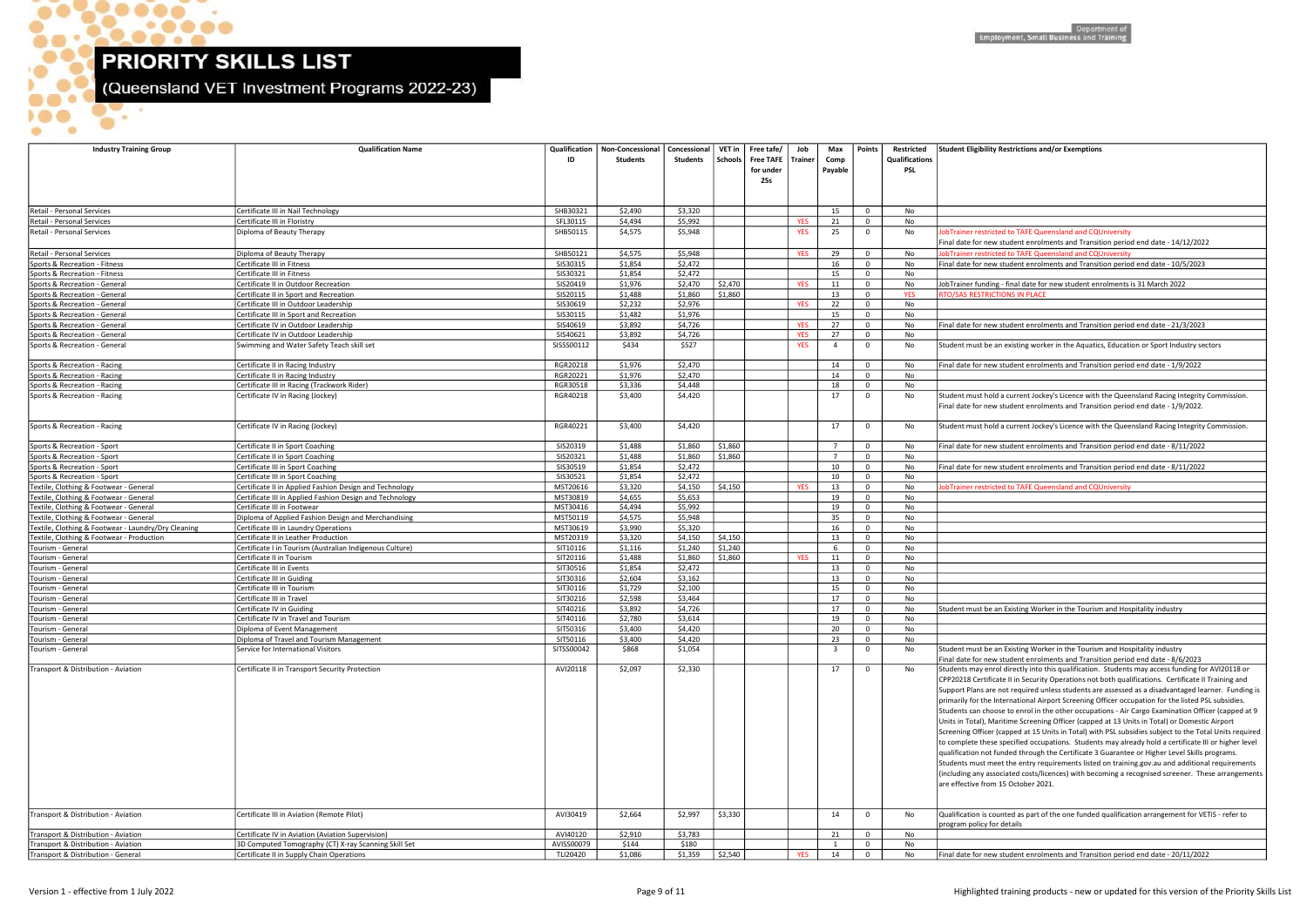\_\_\_  $\sim$ 

 $. 0000$ 

 $\bullet$ 

 $\bullet\bullet\bullet^\bullet$ 

 $\blacksquare$ 

 $\bullet$ 

ъ

 $\bullet$ .

(Queensland VET Investment Programs 2022-23)

| <b>Industry Training Group</b>                                                   | <b>Qualification Name</b>                                                          | Qualification<br>ID  | Non-Concessional<br>Students | Concessional  <br>Students | Schools | VET in   Free tafe/ $\overline{\phantom{a}}$<br>Free TAFE   Trainer | Job        | Max<br>Comp             | Points                      | Restricted<br>Qualifications | <b>Student Eligibility Restrictions and/or Exemptions</b>                                                                                                                          |
|----------------------------------------------------------------------------------|------------------------------------------------------------------------------------|----------------------|------------------------------|----------------------------|---------|---------------------------------------------------------------------|------------|-------------------------|-----------------------------|------------------------------|------------------------------------------------------------------------------------------------------------------------------------------------------------------------------------|
|                                                                                  |                                                                                    |                      |                              |                            |         | for under<br>25s                                                    |            | Payable                 |                             | PSL                          |                                                                                                                                                                                    |
|                                                                                  |                                                                                    |                      |                              |                            |         |                                                                     |            |                         |                             |                              |                                                                                                                                                                                    |
| Retail - Personal Services                                                       | Certificate III in Nail Technology                                                 | SHB30321             | \$2,490                      | \$3,320                    |         |                                                                     |            | 15                      | $\mathbf 0$                 | No                           |                                                                                                                                                                                    |
| Retail - Personal Services                                                       | Certificate III in Floristry                                                       | SFL30115             | \$4,494                      | \$5,992                    |         |                                                                     | <b>YES</b> | 21                      | $\mathbf 0$                 | No                           |                                                                                                                                                                                    |
| Retail - Personal Services                                                       | Diploma of Beauty Therapy                                                          | SHB50115             | \$4,575                      | \$5,948                    |         |                                                                     | <b>YES</b> | 25                      | $\mathbf{0}$                | No                           | obTrainer restricted to TAFE Queensland and CQUniversity                                                                                                                           |
|                                                                                  |                                                                                    |                      |                              |                            |         |                                                                     |            |                         |                             |                              | Final date for new student enrolments and Transition period end date - 14/12/2022                                                                                                  |
| Retail - Personal Services<br>Sports & Recreation - Fitness                      | Diploma of Beauty Therapy<br>Certificate III in Fitness                            | SHB50121<br>SIS30315 | \$4,575<br>\$1,854           | \$5,948<br>\$2,472         |         |                                                                     | <b>YES</b> | 29<br>16                | $\mathbf 0$<br>$\mathbf{0}$ | No<br>No                     | obTrainer restricted to TAFE Queensland and CQUniversity<br>Final date for new student enrolments and Transition period end date - 10/5/2023                                       |
| Sports & Recreation - Fitness                                                    | Certificate III in Fitness                                                         | SIS30321             | \$1,854                      | \$2,472                    |         |                                                                     |            | 15                      | $\mathbf 0$                 | No                           |                                                                                                                                                                                    |
| Sports & Recreation - General                                                    | Certificate II in Outdoor Recreation                                               | SIS20419             | \$1,976                      | \$2,470                    | \$2,470 |                                                                     | <b>YES</b> | 11                      | $\mathbf 0$                 | No                           | JobTrainer funding - final date for new student enrolments is 31 March 2022                                                                                                        |
| Sports & Recreation - General                                                    | Certificate II in Sport and Recreation                                             | SIS20115             | \$1,488                      | \$1,860                    | \$1,860 |                                                                     |            | 13                      | $\mathbf 0$                 | <b>YES</b>                   | <b>RTO/SAS RESTRICTIONS IN PLACE</b>                                                                                                                                               |
| Sports & Recreation - General                                                    | Certificate III in Outdoor Leadership                                              | SIS30619             | \$2,232                      | \$2,976                    |         |                                                                     | <b>YES</b> | 22                      | $\mathbf 0$                 | No                           |                                                                                                                                                                                    |
| Sports & Recreation - General                                                    | Certificate III in Sport and Recreation                                            | SIS30115             | \$1,482                      | \$1,976                    |         |                                                                     |            | 15                      | $\mathbf{0}$                | No                           |                                                                                                                                                                                    |
| Sports & Recreation - General                                                    | Certificate IV in Outdoor Leadership                                               | SIS40619             | \$3,892                      | \$4,726                    |         |                                                                     | <b>YES</b> | 27                      | $\mathbf 0$                 | No                           | Final date for new student enrolments and Transition period end date - 21/3/2023                                                                                                   |
| Sports & Recreation - General                                                    | Certificate IV in Outdoor Leadership                                               | SIS40621             | \$3,892                      | \$4,726                    |         |                                                                     | <b>YES</b> | 27                      | $\mathbf 0$                 | No                           |                                                                                                                                                                                    |
| Sports & Recreation - General                                                    | Swimming and Water Safety Teach skill set                                          | SISSS00112           | \$434                        | \$527                      |         |                                                                     | <b>YES</b> | $\overline{4}$          | $\mathbf{0}$                | No                           | Student must be an existing worker in the Aquatics, Education or Sport Industry sect                                                                                               |
| Sports & Recreation - Racing                                                     | Certificate II in Racing Industry                                                  | RGR20218             | \$1,976                      | \$2,470                    |         |                                                                     |            | 14                      | $\mathbf 0$                 | No                           | Final date for new student enrolments and Transition period end date - 1/9/2022                                                                                                    |
| Sports & Recreation - Racing                                                     | Certificate II in Racing Industry                                                  | RGR20221             | \$1,976                      | \$2,470                    |         |                                                                     |            | 14                      | $\mathbf 0$                 | No                           |                                                                                                                                                                                    |
| Sports & Recreation - Racing                                                     | Certificate III in Racing (Trackwork Rider)                                        | RGR30518             | \$3,336                      | \$4,448                    |         |                                                                     |            | 18                      | $\mathbf 0$                 | No                           |                                                                                                                                                                                    |
| Sports & Recreation - Racing                                                     | Certificate IV in Racing (Jockey)                                                  | RGR40218             | \$3,400                      | \$4,420                    |         |                                                                     |            | 17                      | $\mathbf 0$                 | No                           | Student must hold a current Jockey's Licence with the Queensland Racing Integrity C                                                                                                |
|                                                                                  |                                                                                    |                      |                              |                            |         |                                                                     |            |                         |                             |                              | Final date for new student enrolments and Transition period end date - 1/9/2022.                                                                                                   |
| Sports & Recreation - Racing                                                     | Certificate IV in Racing (Jockey)                                                  | RGR40221             | \$3,400                      | \$4,420                    |         |                                                                     |            | 17                      | $\mathbf{0}$                | No                           | Student must hold a current Jockey's Licence with the Queensland Racing Integrity C                                                                                                |
|                                                                                  |                                                                                    |                      |                              |                            |         |                                                                     |            |                         |                             |                              |                                                                                                                                                                                    |
| Sports & Recreation - Sport                                                      | Certificate II in Sport Coaching                                                   | SIS20319             | \$1,488                      | \$1,860                    | \$1,860 |                                                                     |            | $\overline{7}$          | $\mathbf{0}$                | No                           | inal date for new student enrolments and Transition period end date - 8/11/2022                                                                                                    |
| Sports & Recreation - Sport                                                      | Certificate II in Sport Coaching                                                   | SIS20321             | \$1,488                      | \$1,860                    | \$1,860 |                                                                     |            | $\overline{7}$          | $\mathbf 0$                 | No                           |                                                                                                                                                                                    |
| Sports & Recreation - Sport                                                      | Certificate III in Sport Coaching                                                  | SIS30519             | \$1,854                      | \$2,472                    |         |                                                                     |            | 10                      | $\mathbf{0}$                | No                           | inal date for new student enrolments and Transition period end date - 8/11/2022                                                                                                    |
| Sports & Recreation - Sport                                                      | Certificate III in Sport Coaching                                                  | SIS30521             | \$1,854                      | \$2,472                    |         |                                                                     |            | 10                      | $\mathbf{0}$                | No                           |                                                                                                                                                                                    |
| Textile, Clothing & Footwear - General                                           | Certificate II in Applied Fashion Design and Technology                            | MST20616             | \$3,320                      | \$4,150                    | \$4,150 |                                                                     | <b>YES</b> | 13                      | $\mathbf 0$                 | No                           | obTrainer restricted to TAFE Queensland and CQUniversity                                                                                                                           |
| Textile, Clothing & Footwear - General                                           | Certificate III in Applied Fashion Design and Technology                           | MST30819             | \$4,655                      | \$5,653                    |         |                                                                     |            | 19                      | $\mathbf 0$                 | No                           |                                                                                                                                                                                    |
| Textile, Clothing & Footwear - General<br>Textile, Clothing & Footwear - General | Certificate III in Footwear<br>Diploma of Applied Fashion Design and Merchandising | MST30416<br>MST50119 | \$4,494<br>\$4,575           | \$5,992<br>\$5,948         |         |                                                                     |            | 19<br>35                | $\mathbf 0$<br>$\mathbf 0$  | No<br>No                     |                                                                                                                                                                                    |
| Textile, Clothing & Footwear - Laundry/Dry Cleaning                              | Certificate III in Laundry Operations                                              | MST30619             | \$3,990                      | \$5,320                    |         |                                                                     |            | 16                      | $\mathbf{0}$                | No                           |                                                                                                                                                                                    |
| Textile, Clothing & Footwear - Production                                        | Certificate II in Leather Production                                               | MST20319             | \$3,320                      | \$4,150                    | \$4,150 |                                                                     |            | 13                      | $\mathbf{0}$                | No                           |                                                                                                                                                                                    |
| Tourism - General                                                                | Certificate I in Tourism (Australian Indigenous Culture)                           | SIT10116             | \$1,116                      | \$1,240                    | \$1,240 |                                                                     |            | 6                       | $\mathbf{0}$                | No                           |                                                                                                                                                                                    |
| Tourism - General                                                                | Certificate II in Tourism                                                          | SIT20116             | \$1,488                      | \$1,860                    | \$1,860 |                                                                     | <b>YES</b> | 11                      | $\mathbf 0$                 | No                           |                                                                                                                                                                                    |
| Tourism - General                                                                | Certificate III in Events                                                          | SIT30516             | \$1,854                      | \$2,472                    |         |                                                                     |            | 13                      | $\mathbf 0$                 | No                           |                                                                                                                                                                                    |
| Tourism - General                                                                | Certificate III in Guiding                                                         | SIT30316             | \$2,604                      | \$3,162                    |         |                                                                     |            | 13                      | $\mathbf 0$                 | No                           |                                                                                                                                                                                    |
| Tourism - General                                                                | Certificate III in Tourism                                                         | SIT30116             | \$1,729                      | \$2,100                    |         |                                                                     |            | 15                      | $\mathbf 0$                 | No                           |                                                                                                                                                                                    |
| Tourism - General                                                                | Certificate III in Travel                                                          | SIT30216             | \$2,598                      | \$3,464                    |         |                                                                     |            | 17                      | $\mathbf 0$                 | No                           |                                                                                                                                                                                    |
| Tourism - General<br>Tourism - General                                           | Certificate IV in Guiding                                                          | SIT40216<br>SIT40116 | \$3,892<br>\$2,780           | \$4,726<br>\$3,614         |         |                                                                     |            | 17<br>19                | $\mathbf{0}$<br>$\mathbf 0$ | No                           | Student must be an Existing Worker in the Tourism and Hospitality industry                                                                                                         |
| Tourism - General                                                                | Certificate IV in Travel and Tourism<br>Diploma of Event Management                | SIT50316             | \$3,400                      | \$4,420                    |         |                                                                     |            | 20                      | $\mathbf{0}$                | No<br>No                     |                                                                                                                                                                                    |
| Tourism - General                                                                | Diploma of Travel and Tourism Management                                           | SIT50116             | \$3,400                      | \$4,420                    |         |                                                                     |            | 23                      | $\mathbf 0$                 | No                           |                                                                                                                                                                                    |
| Tourism - General                                                                | Service for International Visitors                                                 | SITSS00042           | \$868                        | \$1,054                    |         |                                                                     |            | $\overline{\mathbf{3}}$ | $\mathbf{0}$                | No                           | Student must be an Existing Worker in the Tourism and Hospitality industry                                                                                                         |
|                                                                                  |                                                                                    |                      |                              |                            |         |                                                                     |            |                         |                             |                              | Final date for new student enrolments and Transition period end date - 8/6/2023                                                                                                    |
| Transport & Distribution - Aviation                                              | Certificate II in Transport Security Protection                                    | AVI20118             | \$2,097                      | \$2,330                    |         |                                                                     |            | 17                      | $\mathbf 0$                 | No                           | Students may enrol directly into this qualification. Students may access funding for /<br>CPP20218 Certificate II in Security Operations not both qualifications. Certificate II T |
|                                                                                  |                                                                                    |                      |                              |                            |         |                                                                     |            |                         |                             |                              | Support Plans are not required unless students are assessed as a disadvantaged learr                                                                                               |
|                                                                                  |                                                                                    |                      |                              |                            |         |                                                                     |            |                         |                             |                              | primarily for the International Airport Screening Officer occupation for the listed PSL                                                                                            |
|                                                                                  |                                                                                    |                      |                              |                            |         |                                                                     |            |                         |                             |                              | Students can choose to enrol in the other occupations - Air Cargo Examination Office<br>Units in Total), Maritime Screening Officer (capped at 13 Units in Total) or Domestic .    |
|                                                                                  |                                                                                    |                      |                              |                            |         |                                                                     |            |                         |                             |                              | Screening Officer (capped at 15 Units in Total) with PSL subsidies subject to the Total                                                                                            |
|                                                                                  |                                                                                    |                      |                              |                            |         |                                                                     |            |                         |                             |                              | to complete these specified occupations. Students may already hold a certificate III o                                                                                             |
|                                                                                  |                                                                                    |                      |                              |                            |         |                                                                     |            |                         |                             |                              | qualification not funded through the Certificate 3 Guarantee or Higher Level Skills pr                                                                                             |
|                                                                                  |                                                                                    |                      |                              |                            |         |                                                                     |            |                         |                             |                              | Students must meet the entry requirements listed on training gov.au and additional                                                                                                 |
|                                                                                  |                                                                                    |                      |                              |                            |         |                                                                     |            |                         |                             |                              | (including any associated costs/licences) with becoming a recognised screener. Thes                                                                                                |
|                                                                                  |                                                                                    |                      |                              |                            |         |                                                                     |            |                         |                             |                              | are effective from 15 October 2021.                                                                                                                                                |
| Transport & Distribution - Aviation                                              | Certificate III in Aviation (Remote Pilot)                                         | AVI30419             | \$2,664                      | \$2,997                    | \$3,330 |                                                                     |            | 14                      | $\mathbf 0$                 | No                           | Qualification is counted as part of the one funded qualification arrangement for VET                                                                                               |
|                                                                                  |                                                                                    |                      |                              |                            |         |                                                                     |            |                         |                             |                              | program policy for details                                                                                                                                                         |
| Transport & Distribution - Aviation                                              | Certificate IV in Aviation (Aviation Supervision)                                  | AVI40120             | \$2,910                      | \$3,783                    |         |                                                                     |            | 21                      | $\overline{0}$              | No                           |                                                                                                                                                                                    |
| Transport & Distribution - Aviation                                              | 3D Computed Tomography (CT) X-ray Scanning Skill Set                               | AVISS00079           | \$144                        | \$180                      |         |                                                                     |            |                         | $\mathbf 0$                 | No                           |                                                                                                                                                                                    |
| Transport & Distribution - General                                               | Certificate II in Supply Chain Operations                                          | TLI20420             | \$1,086                      | \$1,359                    | \$2,540 |                                                                     | <b>YES</b> | 14                      | $\overline{0}$              | No                           | Final date for new student enrolments and Transition period end date - 20/11/2022                                                                                                  |

### ibility Restrictions and/or Exemptions

Sports And Americation - Racing Certificate IV in Racing Certificate Integrity Commission.<br>It hold a current Jockey's Licence with the Queensland Racing Integrity Commission. new student enrolments and Transition period end date - 1/9/2022.

Sports And<br>Acting Certificate Integration - Racing Certificate IV in Racing (Integrity Commission.

t be an Existing Worker in the Tourism and Hospitality industry r new student enrolments and Transition period end date - 8/6/2023 in extransport Aviation Certification Certification Certification Aviation AVI20118 or Syn and Directly into this qualification. Students may access funding for AVI20118 or ertificate II in Security Operations not both qualifications. Certificate II Training and ns are not required unless students are assessed as a disadvantaged learner. Funding is the International Airport Screening Officer occupation for the listed PSL subsidies. students choose to enrol in the other occupations - Air Cargo Examination Officer (capped at 9 Il), Maritime Screening Officer (capped at 13 Units in Total) or Domestic Airport fficer (capped at 15 Units in Total) with PSL subsidies subject to the Total Units required these specified occupations. Students may already hold a certificate III or higher level not funded through the Certificate 3 Guarantee or Higher Level Skills programs. ist meet the entry requirements listed on training.gov.au and additional requirements ly associated costs/licences) with becoming a recognised screener. These arrangements from 15 October 2021.

 $\overline{\text{I}}$  is counted as part of the one funded qualification arrangement for VETiS - refer to icy for details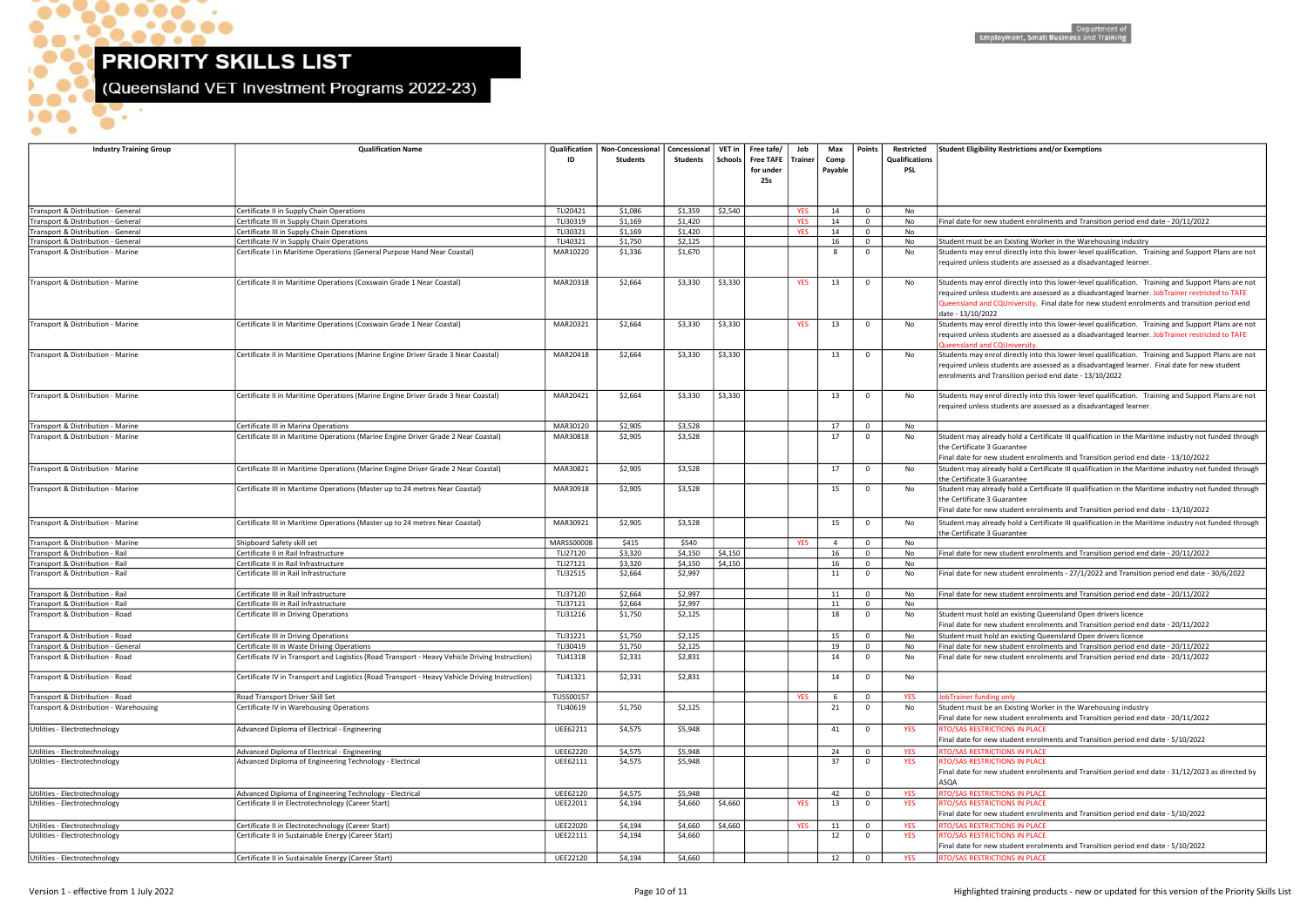$\bullet$ 

 $\bullet$ .

 $\bullet\bullet\bullet\bullet\bullet$ 

 $\bullet$ 

...

 $\bullet$ 

 $\bullet$ 

(Queensland VET Investment Programs 2022-23)

| <b>Industry Training Group</b>                                 | <b>Qualification Name</b>                                                                                     | ID                   | Qualification   Non-Concessional<br><b>Students</b> | Concessional<br>Students | VET in<br><b>Schools</b> | Free tafe/<br>Free TAFE   Trainer<br>for under<br>25s | Job        | Max<br>Comp<br>Payable | Points                     | Restricted<br>Qualifications<br>PSL | <b>Student Eligibility Restrictions an</b>                                                                                      |
|----------------------------------------------------------------|---------------------------------------------------------------------------------------------------------------|----------------------|-----------------------------------------------------|--------------------------|--------------------------|-------------------------------------------------------|------------|------------------------|----------------------------|-------------------------------------|---------------------------------------------------------------------------------------------------------------------------------|
|                                                                |                                                                                                               |                      |                                                     |                          |                          |                                                       |            |                        |                            |                                     |                                                                                                                                 |
| Transport & Distribution - General                             | Certificate II in Supply Chain Operations                                                                     | TLI20421             | \$1,086                                             | \$1,359                  | \$2,540                  |                                                       | <b>YES</b> | 14                     | $\mathbf 0$                | No                                  |                                                                                                                                 |
| Transport & Distribution - General                             | Certificate III in Supply Chain Operations                                                                    | TLI30319             | \$1,169                                             | \$1,420                  |                          |                                                       | <b>YES</b> | 14                     | $\mathbf 0$                | No                                  | Final date for new student enroln                                                                                               |
| Transport & Distribution - General                             | Certificate III in Supply Chain Operations                                                                    | TLI30321             | \$1,169                                             | \$1,420                  |                          |                                                       | <b>YES</b> | 14                     | $\mathbf 0$                | No                                  |                                                                                                                                 |
| Transport & Distribution - General                             | Certificate IV in Supply Chain Operations                                                                     | TLI40321             | \$1,750                                             | \$2,125                  |                          |                                                       |            | 16                     | $\mathbf 0$                | No                                  | Student must be an Existing Worl                                                                                                |
| Transport & Distribution - Marine                              | Certificate I in Maritime Operations (General Purpose Hand Near Coastal)                                      | MAR10220             | \$1,336                                             | \$1,670                  |                          |                                                       |            | 8                      | $\mathbf{0}$               | No                                  | Students may enrol directly into t<br>required unless students are asse                                                         |
| Transport & Distribution - Marine                              | Certificate II in Maritime Operations (Coxswain Grade 1 Near Coastal)                                         | MAR20318             | \$2,664                                             | \$3,330                  | \$3,330                  |                                                       | <b>YES</b> | 13                     | $\mathbf 0$                | No                                  | Students may enrol directly into t<br>required unless students are asse<br>Queensland and CQUniversity. Fi<br>date - 13/10/2022 |
| Transport & Distribution - Marine                              | Certificate II in Maritime Operations (Coxswain Grade 1 Near Coastal)                                         | MAR20321             | \$2,664                                             | \$3,330                  | \$3,330                  |                                                       | <b>YES</b> | 13                     | $\mathbf 0$                | No                                  | Students may enrol directly into t<br>required unless students are asse<br>Queensland and CQUniversity.                         |
| Transport & Distribution - Marine                              | Certificate II in Maritime Operations (Marine Engine Driver Grade 3 Near Coastal)                             | MAR20418             | \$2,664                                             | \$3,330                  | \$3,330                  |                                                       |            | 13                     | $\mathbf 0$                | No                                  | Students may enrol directly into t<br>required unless students are asse<br>enrolments and Transition period                     |
| Transport & Distribution - Marine                              | Certificate II in Maritime Operations (Marine Engine Driver Grade 3 Near Coastal)                             | MAR20421             | \$2,664                                             | \$3,330                  | \$3,330                  |                                                       |            | 13                     | $\mathbf 0$                | No                                  | Students may enrol directly into t<br>required unless students are asse                                                         |
| Transport & Distribution - Marine                              | Certificate III in Marina Operations                                                                          | MAR30120             | \$2,905                                             | \$3,528                  |                          |                                                       |            | 17                     | $\mathbf 0$                | No                                  |                                                                                                                                 |
| Transport & Distribution - Marine                              | Certificate III in Maritime Operations (Marine Engine Driver Grade 2 Near Coastal)                            | MAR30818             | \$2,905                                             | \$3,528                  |                          |                                                       |            | 17                     | $\mathbf 0$                | No                                  | Student may already hold a Certif<br>the Certificate 3 Guarantee<br>Final date for new student enroln                           |
| Transport & Distribution - Marine                              | Certificate III in Maritime Operations (Marine Engine Driver Grade 2 Near Coastal)                            | MAR30821             | \$2,905                                             | \$3,528                  |                          |                                                       |            | 17                     | $\mathbf 0$                | No                                  | Student may already hold a Certi<br>the Certificate 3 Guarantee                                                                 |
| Transport & Distribution - Marine                              | Certificate III in Maritime Operations (Master up to 24 metres Near Coastal)                                  | MAR30918             | \$2,905                                             | \$3,528                  |                          |                                                       |            | 15                     | $\mathbf 0$                | No                                  | Student may already hold a Certi<br>the Certificate 3 Guarantee<br>Final date for new student enroln                            |
| Transport & Distribution - Marine                              | Certificate III in Maritime Operations (Master up to 24 metres Near Coastal)                                  | MAR30921             | \$2,905                                             | \$3,528                  |                          |                                                       |            | 15                     | $\mathbf{0}$               | No                                  | Student may already hold a Certit<br>the Certificate 3 Guarantee                                                                |
| Transport & Distribution - Marine                              | Shipboard Safety skill set                                                                                    | <b>MARSS00008</b>    | \$415                                               | \$540                    |                          |                                                       | <b>YES</b> | $\overline{4}$         | $\mathbf 0$                | No                                  |                                                                                                                                 |
| Transport & Distribution - Rail                                | Certificate II in Rail Infrastructure                                                                         | TLI27120             | \$3,320                                             | \$4,150                  | \$4,150                  |                                                       |            | 16                     | $\mathbf 0$                | No                                  | Final date for new student enroln                                                                                               |
| Transport & Distribution - Rail                                | Certificate II in Rail Infrastructure                                                                         | TLI27121             | \$3,320                                             | \$4,150                  | \$4,150                  |                                                       |            | 16                     | $\mathbf 0$                | No                                  |                                                                                                                                 |
| Transport & Distribution - Rail                                | Certificate III in Rail Infrastructure                                                                        | TLI32515             | \$2,664                                             | \$2,997                  |                          |                                                       |            | 11                     | $\mathbf 0$                | No                                  | Final date for new student enroln                                                                                               |
| Transport & Distribution - Rail                                | Certificate III in Rail Infrastructure                                                                        | TLI37120             | \$2,664                                             | \$2,997                  |                          |                                                       |            | 11                     | $\mathbf 0$                | No                                  | Final date for new student enroln                                                                                               |
| Transport & Distribution - Rail                                | Certificate III in Rail Infrastructure                                                                        | TLI37121             | \$2,664                                             | \$2,997                  |                          |                                                       |            | 11                     | $\mathbf 0$                | No                                  |                                                                                                                                 |
| Transport & Distribution - Road                                | Certificate III in Driving Operations                                                                         | TLI31216             | \$1,750                                             | \$2,125                  |                          |                                                       |            | 18                     | $\mathbf 0$                | No                                  | Student must hold an existing Qu<br>Final date for new student enroln                                                           |
| Transport & Distribution - Road                                | Certificate III in Driving Operations                                                                         | TLI31221             | \$1,750                                             | \$2,125                  |                          |                                                       |            | 15                     | 0                          | No                                  | Student must hold an existing Qu                                                                                                |
| Transport & Distribution - General                             | Certificate III in Waste Driving Operations                                                                   | TLI30419             | \$1,750                                             | \$2,125                  |                          |                                                       |            | 19                     | $\mathbf 0$                | No                                  | Final date for new student enroln                                                                                               |
| Transport & Distribution - Road                                | Certificate IV in Transport and Logistics (Road Transport - Heavy Vehicle Driving Instruction)                | TLI41318             | \$2,331                                             | \$2,831                  |                          |                                                       |            | 14                     | $\mathbf 0$                | No                                  | Final date for new student enroln                                                                                               |
| Transport & Distribution - Road                                | Certificate IV in Transport and Logistics (Road Transport - Heavy Vehicle Driving Instruction)                | TLI41321             | \$2,331                                             | \$2,831                  |                          |                                                       |            | 14                     | $\mathbf 0$                | No                                  |                                                                                                                                 |
| Transport & Distribution - Road                                | Road Transport Driver Skill Set                                                                               | <b>TLISS00157</b>    |                                                     |                          |                          |                                                       | <b>YES</b> | -6                     | $\mathbf 0$                | <b>YES</b>                          | JobTrainer funding only                                                                                                         |
| Transport & Distribution - Warehousing                         | Certificate IV in Warehousing Operations                                                                      | TLI40619             | \$1,750                                             | \$2,125                  |                          |                                                       |            | 21                     | $\mathbf 0$                | No                                  | Student must be an Existing Worl<br>Final date for new student enroln                                                           |
| Utilities - Electrotechnology                                  | Advanced Diploma of Electrical - Engineering                                                                  | UEE62211             | \$4,575                                             | \$5,948                  |                          |                                                       |            | 41                     | $\mathbf 0$                | <b>YES</b>                          | <b>RTO/SAS RESTRICTIONS IN PLACE</b><br>Final date for new student enroln                                                       |
| Utilities - Electrotechnology<br>Utilities - Electrotechnology | Advanced Diploma of Electrical - Engineering<br>Advanced Diploma of Engineering Technology - Electrical       | UEE62220<br>UEE62111 | \$4,575<br>\$4,575                                  | \$5,948<br>\$5,948       |                          |                                                       |            | 24<br>37               | $\mathbf 0$<br>$\mathbf 0$ | <b>YES</b><br><b>YES</b>            | <b>RTO/SAS RESTRICTIONS IN PLACE</b><br>RTO/SAS RESTRICTIONS IN PLACE<br>Final date for new student enroln                      |
|                                                                |                                                                                                               |                      |                                                     |                          |                          |                                                       |            |                        |                            |                                     | <b>ASQA</b>                                                                                                                     |
| Utilities - Electrotechnology<br>Utilities - Electrotechnology | Advanced Diploma of Engineering Technology - Electrical<br>Certificate II in Electrotechnology (Career Start) | UEE62120<br>UEE22011 | \$4,575<br>\$4,194                                  | \$5,948<br>\$4,660       | \$4,660                  |                                                       | <b>YES</b> | 42<br>13               | $\mathbf 0$<br>$\mathbf 0$ | <b>YES</b><br><b>YES</b>            | RTO/SAS RESTRICTIONS IN PLACE<br>RTO/SAS RESTRICTIONS IN PLACE                                                                  |
|                                                                |                                                                                                               |                      |                                                     |                          |                          |                                                       |            |                        |                            |                                     | Final date for new student enroln                                                                                               |
| Utilities - Electrotechnology                                  | Certificate II in Electrotechnology (Career Start)                                                            | UEE22020             | \$4,194                                             | \$4,660                  | \$4,660                  |                                                       | <b>YES</b> | 11                     | $\mathbf 0$                | <b>YES</b>                          | RTO/SAS RESTRICTIONS IN PLACE                                                                                                   |
| Utilities - Electrotechnology                                  | Certificate II in Sustainable Energy (Career Start)                                                           | UEE22111             | \$4,194                                             | \$4,660                  |                          |                                                       |            | 12                     | $\mathbf{0}$               | <b>YES</b>                          | RTO/SAS RESTRICTIONS IN PLACE<br>Final date for new student enrolr                                                              |
| Utilities - Electrotechnology                                  | Certificate II in Sustainable Energy (Career Start)                                                           | UEE22120             | \$4,194                                             | \$4,660                  |                          |                                                       |            | 12                     | $\mathbf 0$                | <b>YES</b>                          | <b>RTO/SAS RESTRICTIONS IN PLACE</b>                                                                                            |

### oility Restrictions and/or Exemptions

### new student enrolments and Transition period end date - 20/11/2022

### the an Existing Worker in the Warehousing industry

enrol directly into this lower-level qualification. Training and Support Plans are not ess students are assessed as a disadvantaged learner.

enrol directly into this lower-level qualification. Training and Support Plans are not ess students are assessed as a disadvantaged learner. JobTrainer restricted to TAFE and CQUniversity. Final date for new student enrolments and transition period end /2022

y enrol directly into this lower-level qualification. Training and Support Plans are not ess students are assessed as a disadvantaged learner. JobTrainer restricted to TAFE and COUniver

enrol directly into this lower-level qualification. Training and Support Plans are not ess students are assessed as a disadvantaged learner. Final date for new student and Transition period end date - 13/10/2022

enrol directly into this lower-level qualification. Training and Support Plans are not ess students are assessed as a disadvantaged learner.

already hold a Certificate III qualification in the Maritime industry not funded through te 3 Guarantee

new student enrolments and Transition period end date - 13/10/2022

already hold a Certificate III qualification in the Maritime industry not funded through te 3 Guarantee

already hold a Certificate III qualification in the Maritime industry not funded through te 3 Guarantee

r new student enrolments and Transition period end date - 13/10/2022

already hold a Certificate III qualification in the Maritime industry not funded through te 3 Guarantee

new student enrolments and Transition period end date - 20/11/2022

 $T$  new student enrolments - 27/1/2022 and Transition period end date - 30/6/2022

Transport mew student enrolments and Transition period end date - 20/11/2022

It hold an existing Queensland Open drivers licence

new student enrolments and Transition period end date - 20/11/2022

I hold an existing Queensland Open drivers licence

mew student enrolments and Transition period end date - 20/11/2022

new student enrolments and Transition period end date - 20/11/2022

Transport Anding only<br>In Departificate In Warehousing industry<br>In No Student must be an Existing must be an Existing industry and Digital must be an Existing Worker in the W new student enrolments and Transition period end date - 20/11/2022 new student enrolments and Transition period end date - 5/10/2022 new student enrolments and Transition period end date - 31/12/2023 as directed by new student enrolments and Transition period end date - 5/10/2022

new student enrolments and Transition period end date - 5/10/2022